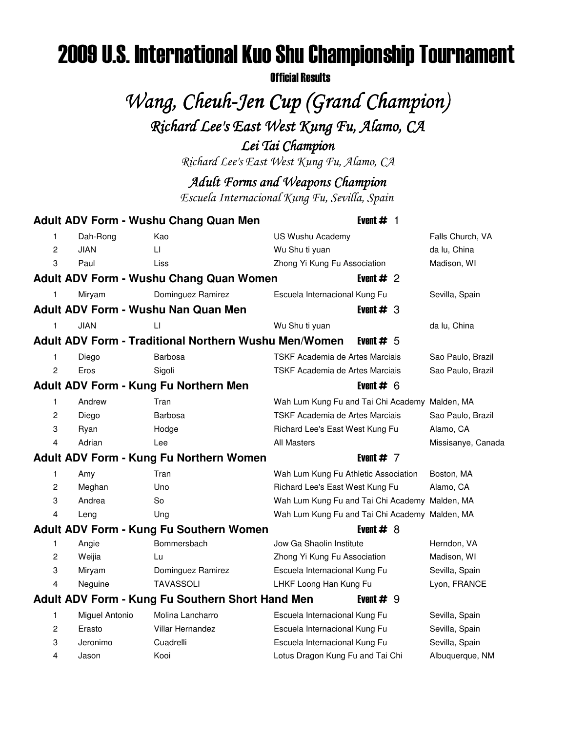# 2009 U.S. International Kuo Shu Championship Tournament

Official Results

# Wang, Cheuh-Jen Cup (Grand Champion) Richard Lee's East West Kung Fu, Alamo, CA

Lei Tai Champion

Richard Lee's East West Kung Fu, Alamo, CA

Adult Forms and Weapons Champion

Escuela Internacional Kung Fu, Sevilla, Spain

|                |                | <b>Adult ADV Form - Wushu Chang Quan Men</b>                 | Event $#$ 1                                    |                    |
|----------------|----------------|--------------------------------------------------------------|------------------------------------------------|--------------------|
| 1              | Dah-Rong       | Kao                                                          | US Wushu Academy                               | Falls Church, VA   |
| 2              | <b>JIAN</b>    | LI                                                           | Wu Shu ti yuan                                 | da lu, China       |
| 3              | Paul           | Liss                                                         | Zhong Yi Kung Fu Association                   | Madison, WI        |
|                |                | <b>Adult ADV Form - Wushu Chang Quan Women</b>               | Event $#2$                                     |                    |
| 1              | Miryam         | Dominguez Ramirez                                            | Escuela Internacional Kung Fu                  | Sevilla, Spain     |
|                |                | <b>Adult ADV Form - Wushu Nan Quan Men</b>                   | Event $# 3$                                    |                    |
| 1              | <b>JIAN</b>    | LI                                                           | Wu Shu ti yuan                                 | da lu, China       |
|                |                | <b>Adult ADV Form - Traditional Northern Wushu Men/Women</b> | Event $# 5$                                    |                    |
| 1              | Diego          | Barbosa                                                      | TSKF Academia de Artes Marciais                | Sao Paulo, Brazil  |
| 2              | Eros           | Sigoli                                                       | TSKF Academia de Artes Marciais                | Sao Paulo, Brazil  |
|                |                | Adult ADV Form - Kung Fu Northern Men                        | Event $# 6$                                    |                    |
| 1              | Andrew         | Tran                                                         | Wah Lum Kung Fu and Tai Chi Academy Malden, MA |                    |
| $\overline{c}$ | Diego          | Barbosa                                                      | TSKF Academia de Artes Marciais                | Sao Paulo, Brazil  |
| 3              | Ryan           | Hodge                                                        | Richard Lee's East West Kung Fu                | Alamo, CA          |
| 4              | Adrian         | Lee                                                          | <b>All Masters</b>                             | Missisanye, Canada |
|                |                | Adult ADV Form - Kung Fu Northern Women                      | Event $# 7$                                    |                    |
| 1              | Amy            | Tran                                                         | Wah Lum Kung Fu Athletic Association           | Boston, MA         |
| $\overline{c}$ | Meghan         | Uno                                                          | Richard Lee's East West Kung Fu                | Alamo, CA          |
| 3              | Andrea         | So                                                           | Wah Lum Kung Fu and Tai Chi Academy Malden, MA |                    |
| 4              | Leng           | Ung                                                          | Wah Lum Kung Fu and Tai Chi Academy Malden, MA |                    |
|                |                | Adult ADV Form - Kung Fu Southern Women                      | Event $#8$                                     |                    |
| 1              | Angie          | Bommersbach                                                  | Jow Ga Shaolin Institute                       | Herndon, VA        |
| $\overline{2}$ | Weijia         | Lu                                                           | Zhong Yi Kung Fu Association                   | Madison, WI        |
| 3              | Miryam         | Dominguez Ramirez                                            | Escuela Internacional Kung Fu                  | Sevilla, Spain     |
| 4              | Neguine        | TAVASSOLI                                                    | LHKF Loong Han Kung Fu                         | Lyon, FRANCE       |
|                |                | Adult ADV Form - Kung Fu Southern Short Hand Men             | Event $# 9$                                    |                    |
| 1              | Miguel Antonio | Molina Lancharro                                             | Escuela Internacional Kung Fu                  | Sevilla, Spain     |
| 2              | Erasto         | <b>Villar Hernandez</b>                                      | Escuela Internacional Kung Fu                  | Sevilla, Spain     |
| 3              | Jeronimo       | Cuadrelli                                                    | Escuela Internacional Kung Fu                  | Sevilla, Spain     |
| 4              | Jason          | Kooi                                                         | Lotus Dragon Kung Fu and Tai Chi               | Albuquerque, NM    |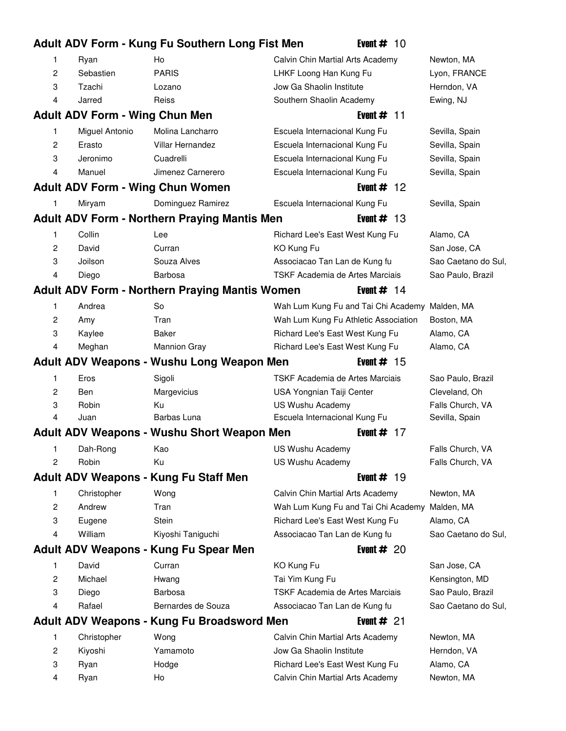|                |                                       | Adult ADV Form - Kung Fu Southern Long Fist Men       | Event #<br>-10                       |                     |
|----------------|---------------------------------------|-------------------------------------------------------|--------------------------------------|---------------------|
| 1              | Ryan                                  | Ho                                                    | Calvin Chin Martial Arts Academy     | Newton, MA          |
| $\overline{c}$ | Sebastien                             | <b>PARIS</b>                                          | LHKF Loong Han Kung Fu               | Lyon, FRANCE        |
| 3              | Tzachi                                | Lozano                                                | Jow Ga Shaolin Institute             | Herndon, VA         |
| 4              | Jarred                                | Reiss                                                 | Southern Shaolin Academy             | Ewing, NJ           |
|                | <b>Adult ADV Form - Wing Chun Men</b> |                                                       | Event $#$ 11                         |                     |
| 1              | Miguel Antonio                        | Molina Lancharro                                      | Escuela Internacional Kung Fu        | Sevilla, Spain      |
| $\overline{c}$ | Erasto                                | <b>Villar Hernandez</b>                               | Escuela Internacional Kung Fu        | Sevilla, Spain      |
| 3              | Jeronimo                              | Cuadrelli                                             | Escuela Internacional Kung Fu        | Sevilla, Spain      |
| 4              | Manuel                                | Jimenez Carnerero                                     | Escuela Internacional Kung Fu        | Sevilla, Spain      |
|                |                                       | <b>Adult ADV Form - Wing Chun Women</b>               | Event $#$<br>-12                     |                     |
| 1              | Miryam                                | Dominguez Ramirez                                     | Escuela Internacional Kung Fu        | Sevilla, Spain      |
|                |                                       | <b>Adult ADV Form - Northern Praying Mantis Men</b>   | -13<br>Event $#$                     |                     |
| 1              | Collin                                | Lee                                                   | Richard Lee's East West Kung Fu      | Alamo, CA           |
| 2              | David                                 | Curran                                                | KO Kung Fu                           | San Jose, CA        |
| 3              | Joilson                               | Souza Alves                                           | Associacao Tan Lan de Kung fu        | Sao Caetano do Sul, |
| 4              | Diego                                 | <b>Barbosa</b>                                        | TSKF Academia de Artes Marciais      | Sao Paulo, Brazil   |
|                |                                       | <b>Adult ADV Form - Northern Praying Mantis Women</b> | Event $# 14$                         |                     |
| 1              | Andrea                                | So                                                    | Wah Lum Kung Fu and Tai Chi Academy  | Malden, MA          |
| 2              | Amy                                   | Tran                                                  | Wah Lum Kung Fu Athletic Association | Boston, MA          |
| 3              | Kaylee                                | Baker                                                 | Richard Lee's East West Kung Fu      | Alamo, CA           |
| 4              | Meghan                                | <b>Mannion Gray</b>                                   | Richard Lee's East West Kung Fu      | Alamo, CA           |
|                |                                       |                                                       |                                      |                     |
|                |                                       | Adult ADV Weapons - Wushu Long Weapon Men             | Event $#$ 15                         |                     |
| 1              | Eros                                  | Sigoli                                                | TSKF Academia de Artes Marciais      | Sao Paulo, Brazil   |
| $\overline{c}$ | Ben                                   | Margevicius                                           | USA Yongnian Taiji Center            | Cleveland, Oh       |
| 3              | Robin                                 | Ku                                                    | US Wushu Academy                     | Falls Church, VA    |
| 4              | Juan                                  | Barbas Luna                                           | Escuela Internacional Kung Fu        | Sevilla, Spain      |
|                |                                       | <b>Adult ADV Weapons - Wushu Short Weapon Men</b>     | Event #<br>-17                       |                     |
| 1              | Dah-Rong                              | Kao                                                   | US Wushu Academy                     | Falls Church, VA    |
| 2              | Robin                                 | Ku                                                    | US Wushu Academy                     | Falls Church, VA    |
|                |                                       | Adult ADV Weapons - Kung Fu Staff Men                 | Event $# 19$                         |                     |
| 1              | Christopher                           | Wong                                                  | Calvin Chin Martial Arts Academy     | Newton, MA          |
| 2              | Andrew                                | Tran                                                  | Wah Lum Kung Fu and Tai Chi Academy  | Malden, MA          |
| 3              | Eugene                                | Stein                                                 | Richard Lee's East West Kung Fu      | Alamo, CA           |
| 4              | William                               | Kiyoshi Taniguchi                                     | Associacao Tan Lan de Kung fu        | Sao Caetano do Sul, |
|                |                                       | Adult ADV Weapons - Kung Fu Spear Men                 | Event $#20$                          |                     |
| 1              | David                                 | Curran                                                | KO Kung Fu                           | San Jose, CA        |
| 2              | Michael                               | Hwang                                                 | Tai Yim Kung Fu                      | Kensington, MD      |
| 3              | Diego                                 | Barbosa                                               | TSKF Academia de Artes Marciais      | Sao Paulo, Brazil   |
| 4              | Rafael                                | Bernardes de Souza                                    | Associacao Tan Lan de Kung fu        | Sao Caetano do Sul, |
|                |                                       | Adult ADV Weapons - Kung Fu Broadsword Men            | Event $#21$                          |                     |
| 1              | Christopher                           | Wong                                                  | Calvin Chin Martial Arts Academy     | Newton, MA          |
| 2              | Kiyoshi                               | Yamamoto                                              | Jow Ga Shaolin Institute             | Herndon, VA         |
| 3              | Ryan                                  | Hodge                                                 | Richard Lee's East West Kung Fu      | Alamo, CA           |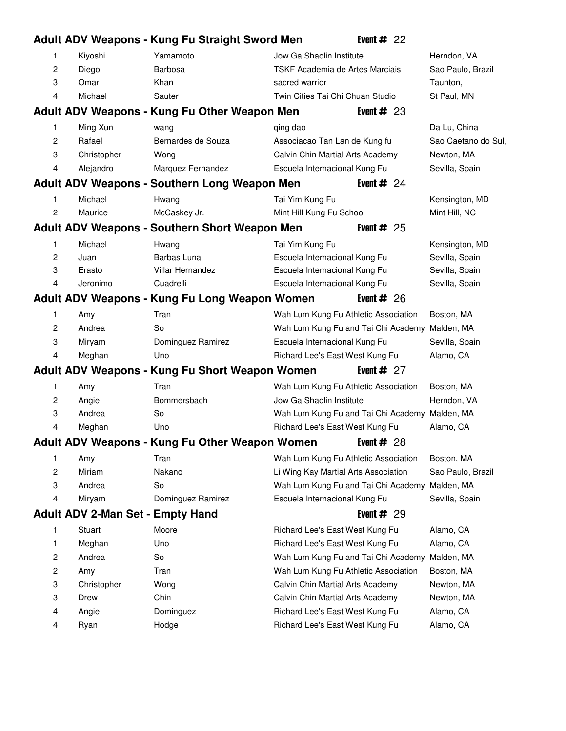# **Adult ADV Weapons - Kung Fu Straight Sword Men** Event # 22 1 Kiyoshi Yamamoto 37 Jow Ga Shaolin Institute Herndon, VA 2 Diego Barbosa 17 Barbosa 17 TSKF Academia de Artes Marciais 17 Sao Paulo, Brazil 3 Omar Khan 19 Sacred warrior 19 Sacred warrior 19 South 19 South 19 and 19 South 19 South 19 and 19 South 19 South 19 and 19 South 19 and 19 and 19 South 19 and 19 and 19 and 19 and 19 and 19 and 19 and 19 and 19 and 19 a 4 Michael Sauter 17 Seamme 17 Twin Cities Tai Chi Chuan Studio 17 St Paul, MN **Adult ADV Weapons - Kung Fu Other Weapon Men** Event # 23 1 Ming Xun wang 20 qing dao 20 qing dama 20 da Lu, China 2 Rafael Bernardes de Souza 15 Associacao Tan Lan de Kung fu Sao Caetano do Sul, 3 Christopher Wong 25 Calvin Chin Martial Arts Academy Newton, MA 4 Alejandro Marquez Fernandez **60 Escuela Internacional Kung Fu** Sevilla, Spain **Adult ADV Weapons - Southern Long Weapon Men** Event # 24 1 Michael Hwang 19 Tai Yim Kung Fu Kensington, MD 2 Maurice McCaskey Jr. 26 Mint Hill Kung Fu School Mint Hill, NC **Adult ADV Weapons - Southern Short Weapon Men** Event # 25 1 Michael Hwang 19 Tai Yim Kung Fu Kensington, MD 2 Juan **Barbas Luna** 13 Escuela Internacional Kung Fu Sevilla, Spain 3 Erasto Villar Hernandez **13 Escuela Internacional Kung Fu** Sevilla, Spain 4 Jeronimo Cuadrelli 13 Escuela Internacional Kung Fu Sevilla, Spain **Adult ADV Weapons - Kung Fu Long Weapon Women** Event # 26 1 Amy Tran 67 Tran 67 Wah Lum Kung Fu Athletic Association Boston, MA 2 Andrea So 50 So 70 Wah Lum Kung Fu and Tai Chi Academy Malden, MA 3 Miryam Dominguez Ramirez **37 Escuela Internacional Kung Fu** Sevilla, Spain 4 Meghan Uno 57 Bichard Lee's East West Kung Fu Alamo, CA **Adult ADV Weapons - Kung Fu Short Weapon Women** Event # 27 1 Amy Tran 67 Tran 67 Wah Lum Kung Fu Athletic Association Boston, MA 2 Angie 36 Bommersbach 36 Jow Ga Shaolin Institute Herndon, VA 3 Andrea So 50 Wah Lum Kung Fu and Tai Chi Academy Malden, MA 4 Meghan Uno 57 Bichard Lee's East West Kung Fu Alamo, CA **Adult ADV Weapons - Kung Fu Other Weapon Women** Event # 28 1 Amy Tran 67 Tran 67 Wah Lum Kung Fu Athletic Association Boston, MA 2 Miriam Nakano 30 Li Wing Kay Martial Arts Association Sao Paulo, Brazil 3 Andrea So 70 Wah Lum Kung Fu and Tai Chi Academy Malden, MA 4 Miryam Dominguez Ramirez **37 Escuela Internacional Kung Fu** Sevilla, Spain **Adult ADV 2-Man Set - Empty Hand** Event # 29 1 Stuart Moore 51 Richard Lee's East West Kung Fu Alamo, CA 1 Meghan Uno 57 Bichard Lee's East West Kung Fu Alamo, CA 2 Andrea So 70 So 70 Wah Lum Kung Fu and Tai Chi Academy Malden, MA 2 Amy Tran 67 Tran 67 Wah Lum Kung Fu Athletic Association Boston, MA 3 Christopher Wong 25 Calvin Chin Martial Arts Academy Newton, MA 3 Drew Chin Chin Chin Chin Calvin Chin Martial Arts Academy Newton, MA 4 Angie **12 Dominguez** 1 **Dominguez** 80 Richard Lee's East West Kung Fu Alamo, CA 4 Ryan **Hodge Richard Lee's East West Kung Fu** Alamo, CA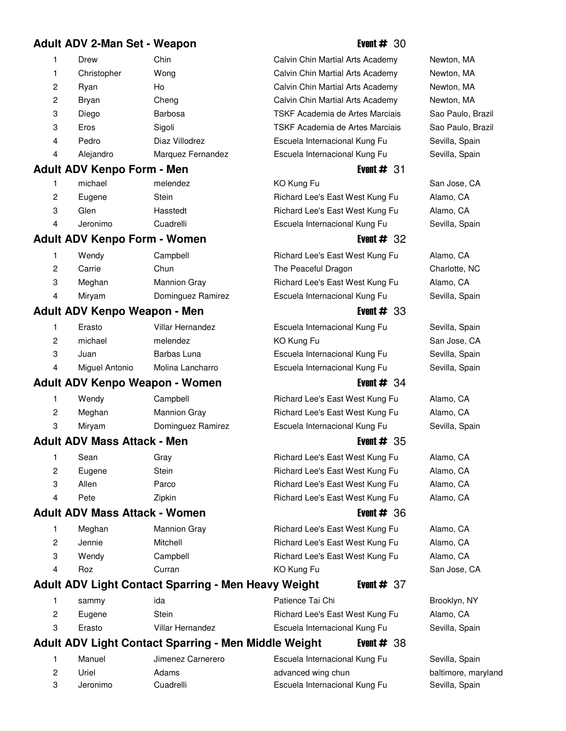### **Adult ADV 2-Man Set - Weapon** Event # 30

| 1 | Drew        | Chin            |
|---|-------------|-----------------|
| 1 | Christopher | Wong            |
| 2 | Ryan        | Ho              |
| 2 | Bryan       | Cheng           |
| 3 | Diego       | Barbosa         |
| 3 | Eros        | Sigoli          |
| 4 | Pedro       | Diaz Villodrez  |
| 4 | Alejandro   | Marquez Fernand |

### **Adult ADV Kenpo Form - Men** Event # 31

|   | michael  | melendez  |
|---|----------|-----------|
| 2 | Eugene   | Stein     |
| З | Glen     | Hasstedt  |
| 4 | Jeronimo | Cuadrelli |
|   |          |           |

### **Adult ADV Kenpo Form - Women** Event # 32

|   | Wendy  | Campbell            |
|---|--------|---------------------|
| 2 | Carrie | Chun                |
| 3 | Meghan | <b>Mannion Gray</b> |
|   | Miryam | Dominguez Ramire:   |

### **Adult ADV Kenpo Weapon - Men** Event # 83

|   | Erasto         | <b>Villar Hernandez</b> |
|---|----------------|-------------------------|
| 2 | michael        | melendez                |
| 3 | Juan           | Barbas Luna             |
|   | Miquel Antonio | Molina Lancharro        |

### **Adult ADV Kenpo Weapon - Women** Event # 24

|    | Wendy  | Campbell            |
|----|--------|---------------------|
| -2 | Meghan | <b>Mannion Gray</b> |
| -3 | Mirvam | Dominguez Ramirez   |

### **Adult ADV Mass Attack - Men** Event # 35

| 1 | Sean   | Gray   |
|---|--------|--------|
| 2 | Eugene | Stein  |
| 3 | Allen  | Parco  |
| 4 | Pete   | Zipkin |

### **Adult ADV Mass Attack - Women** Event # 36

| 1 | Meghan | Mannion Gray |
|---|--------|--------------|
| 2 | Jennie | Mitchell     |
| 3 | Wendy  | Campbell     |
| 4 | Roz    | Curran       |

### **Adult ADV Light Contact Sparring - Men Heavy Weight Event # 37**

| sammy  | ida              | Patience Tai Chi                | Brooklyn, NY   |
|--------|------------------|---------------------------------|----------------|
| Eugene | Stein            | Richard Lee's East West Kung Fu | Alamo, CA      |
| Erasto | Villar Hernandez | Escuela Internacional Kung Fu   | Sevilla, Spair |

### **Adult ADV Light Contact Sparring - Men Middle Weight Fivent # 38**

| Manuel   | Jimenez Carnerero | Escuela Internacional Kung Fu |
|----------|-------------------|-------------------------------|
| Jriel    | Adams             | advanced wing chun            |
| Jeronimo | Cuadrelli         | Escuela Internacional Kung Fu |

Calvin Chin Martial Arts Academy Newton, MA Calvin Chin Martial Arts Academy Newton, MA Calvin Chin Martial Arts Academy Newton, MA Calvin Chin Martial Arts Academy Newton, MA TSKF Academia de Artes Marciais Sao Paulo, Brazil TSKF Academia de Artes Marciais Sao Paulo, Brazil Escuela Internacional Kung Fu Sevilla, Spain dez **Escuela Internacional Kung Fu** Sevilla, Spain

1 KO Kung Fu San Jose, CA Richard Lee's East West Kung Fu Alamo, CA Richard Lee's East West Kung Fu Alamo, CA Escuela Internacional Kung Fu Sevilla, Spain

Richard Lee's East West Kung Fu Alamo, CA The Peaceful Dragon Charlotte, NC Richard Lee's East West Kung Fu Alamo, CA z and Dominguez Becuela Internacional Kung Fu Sevilla, Spain

Escuela Internacional Kung Fu Sevilla, Spain 2 KO Kung Fu San Jose, CA Escuela Internacional Kung Fu Sevilla, Spain Escuela Internacional Kung Fu Sevilla, Spain

Richard Lee's East West Kung Fu Alamo, CA Richard Lee's East West Kung Fu Alamo, CA Escuela Internacional Kung Fu Sevilla, Spain

Richard Lee's East West Kung Fu Alamo, CA Richard Lee's East West Kung Fu Alamo, CA Richard Lee's East West Kung Fu Alamo, CA Richard Lee's East West Kung Fu Alamo, CA

Richard Lee's East West Kung Fu Alamo, CA Richard Lee's East West Kung Fu Alamo, CA Richard Lee's East West Kung Fu Alamo, CA KO Kung Fu San Jose, CA

Sevilla, Spain

Sevilla, Spain baltimore, maryland Sevilla, Spain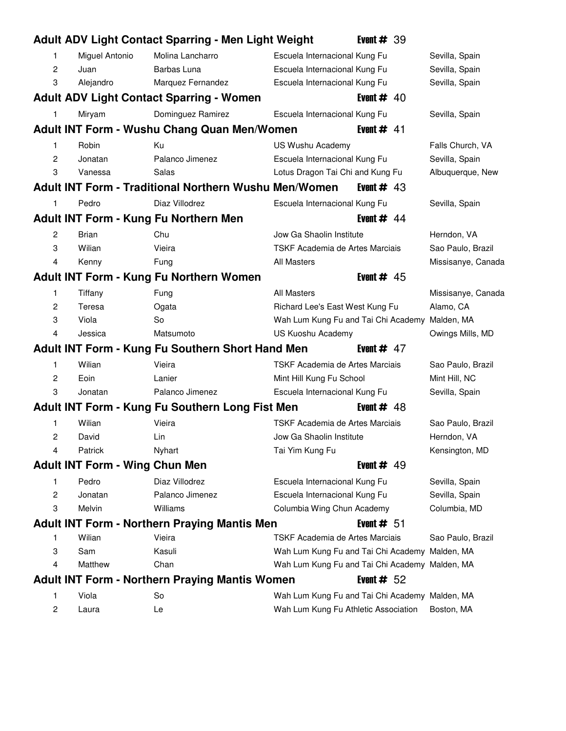|                |                                       | Adult ADV Light Contact Sparring - Men Light Weight          |                                                | Event $#39$  |                    |
|----------------|---------------------------------------|--------------------------------------------------------------|------------------------------------------------|--------------|--------------------|
| 1              | Miguel Antonio                        | Molina Lancharro                                             | Escuela Internacional Kung Fu                  |              | Sevilla, Spain     |
| 2              | Juan                                  | Barbas Luna                                                  | Escuela Internacional Kung Fu                  |              | Sevilla, Spain     |
| 3              | Alejandro                             | Marquez Fernandez                                            | Escuela Internacional Kung Fu                  |              | Sevilla, Spain     |
|                |                                       | <b>Adult ADV Light Contact Sparring - Women</b>              |                                                | Event $#$ 40 |                    |
| 1              | Miryam                                | Dominguez Ramirez                                            | Escuela Internacional Kung Fu                  |              | Sevilla, Spain     |
|                |                                       | Adult INT Form - Wushu Chang Quan Men/Women                  |                                                | Event $#$ 41 |                    |
| 1              | Robin                                 | Ku                                                           | US Wushu Academy                               |              | Falls Church, VA   |
| 2              | Jonatan                               | Palanco Jimenez                                              | Escuela Internacional Kung Fu                  |              | Sevilla, Spain     |
| 3              | Vanessa                               | Salas                                                        | Lotus Dragon Tai Chi and Kung Fu               |              | Albuquerque, New   |
|                |                                       | <b>Adult INT Form - Traditional Northern Wushu Men/Women</b> |                                                | Event $#$ 43 |                    |
| 1              | Pedro                                 | Diaz Villodrez                                               | Escuela Internacional Kung Fu                  |              | Sevilla, Spain     |
|                |                                       | Adult INT Form - Kung Fu Northern Men                        |                                                | Event $#$ 44 |                    |
| 2              | <b>Brian</b>                          | Chu                                                          | Jow Ga Shaolin Institute                       |              | Herndon, VA        |
| 3              | Wilian                                | Vieira                                                       | TSKF Academia de Artes Marciais                |              | Sao Paulo, Brazil  |
| 4              | Kenny                                 | Fung                                                         | <b>All Masters</b>                             |              | Missisanye, Canada |
|                |                                       | <b>Adult INT Form - Kung Fu Northern Women</b>               |                                                | Event $#$ 45 |                    |
| 1              | Tiffany                               | Fung                                                         | <b>All Masters</b>                             |              | Missisanye, Canada |
| 2              | Teresa                                | Ogata                                                        | Richard Lee's East West Kung Fu                |              | Alamo, CA          |
| 3              | Viola                                 | So                                                           | Wah Lum Kung Fu and Tai Chi Academy Malden, MA |              |                    |
| 4              | Jessica                               | Matsumoto                                                    | US Kuoshu Academy                              |              | Owings Mills, MD   |
|                |                                       | Adult INT Form - Kung Fu Southern Short Hand Men             |                                                | Event $#$ 47 |                    |
| 1              | Wilian                                | Vieira                                                       | TSKF Academia de Artes Marciais                |              | Sao Paulo, Brazil  |
| 2              | Eoin                                  | Lanier                                                       | Mint Hill Kung Fu School                       |              | Mint Hill, NC      |
| 3              | Jonatan                               | Palanco Jimenez                                              | Escuela Internacional Kung Fu                  |              | Sevilla, Spain     |
|                |                                       | Adult INT Form - Kung Fu Southern Long Fist Men              |                                                | Event $#$ 48 |                    |
| 1              | Wilian                                | Vieira                                                       | TSKF Academia de Artes Marciais                |              | Sao Paulo, Brazil  |
| 2              | David                                 | Lin                                                          | Jow Ga Shaolin Institute                       |              | Herndon, VA        |
|                | Patrick                               | Nyhart                                                       | Tai Yim Kung Fu                                |              | Kensington, MD     |
|                | <b>Adult INT Form - Wing Chun Men</b> |                                                              |                                                | Event $#$ 49 |                    |
| 1              | Pedro                                 | Diaz Villodrez                                               | Escuela Internacional Kung Fu                  |              | Sevilla, Spain     |
| 2              | Jonatan                               | Palanco Jimenez                                              | Escuela Internacional Kung Fu                  |              | Sevilla, Spain     |
| 3              | Melvin                                | Williams                                                     | Columbia Wing Chun Academy                     |              | Columbia, MD       |
|                |                                       | <b>Adult INT Form - Northern Praying Mantis Men</b>          |                                                | Event $# 51$ |                    |
| 1              | Wilian                                | Vieira                                                       | TSKF Academia de Artes Marciais                |              | Sao Paulo, Brazil  |
| 3              | Sam                                   | Kasuli                                                       | Wah Lum Kung Fu and Tai Chi Academy Malden, MA |              |                    |
| 4              | Matthew                               | Chan                                                         | Wah Lum Kung Fu and Tai Chi Academy Malden, MA |              |                    |
|                |                                       | <b>Adult INT Form - Northern Praying Mantis Women</b>        |                                                | Event $# 52$ |                    |
| 1              | Viola                                 | So                                                           | Wah Lum Kung Fu and Tai Chi Academy Malden, MA |              |                    |
| $\overline{c}$ | Laura                                 | Le                                                           | Wah Lum Kung Fu Athletic Association           |              | Boston, MA         |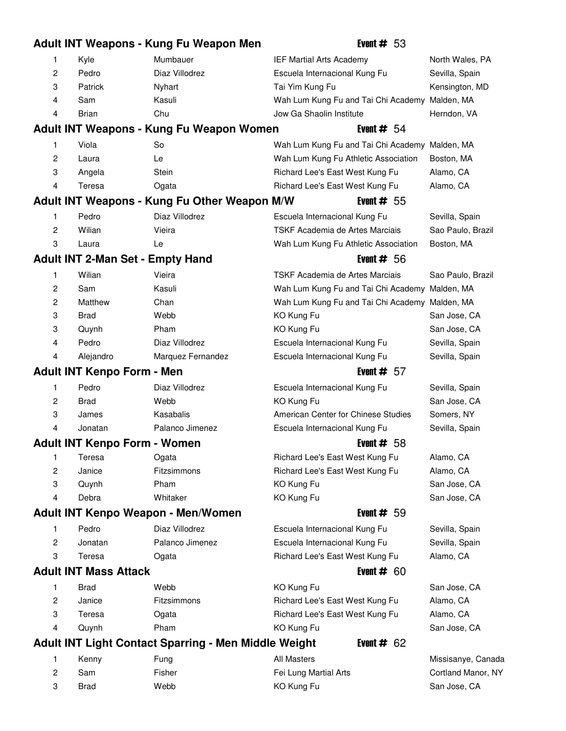|   |                                         | Adult INT Weapons - Kung Fu Weapon Men                      | Event $# 53$                                   |                    |
|---|-----------------------------------------|-------------------------------------------------------------|------------------------------------------------|--------------------|
| 1 | Kyle                                    | Mumbauer                                                    | IEF Martial Arts Academy                       | North Wales, PA    |
| 2 | Pedro                                   | Diaz Villodrez                                              | Escuela Internacional Kung Fu                  | Sevilla, Spain     |
| 3 | Patrick                                 | Nyhart                                                      | Tai Yim Kung Fu                                | Kensington, MD     |
| 4 | Sam                                     | Kasuli                                                      | Wah Lum Kung Fu and Tai Chi Academy Malden, MA |                    |
| 4 | <b>Brian</b>                            | Chu                                                         | Jow Ga Shaolin Institute                       | Herndon, VA        |
|   |                                         | Adult INT Weapons - Kung Fu Weapon Women                    | Event $# 54$                                   |                    |
| 1 | Viola                                   | So                                                          | Wah Lum Kung Fu and Tai Chi Academy Malden, MA |                    |
| 2 | Laura                                   | Le                                                          | Wah Lum Kung Fu Athletic Association           | Boston, MA         |
| 3 | Angela                                  | <b>Stein</b>                                                | Richard Lee's East West Kung Fu                | Alamo, CA          |
| 4 | Teresa                                  | Ogata                                                       | Richard Lee's East West Kung Fu                | Alamo, CA          |
|   |                                         | Adult INT Weapons - Kung Fu Other Weapon M/W                | Event $# 55$                                   |                    |
| 1 | Pedro                                   | Diaz Villodrez                                              | Escuela Internacional Kung Fu                  | Sevilla, Spain     |
| 2 | Wilian                                  | Vieira                                                      | TSKF Academia de Artes Marciais                | Sao Paulo, Brazil  |
| 3 | Laura                                   | Le                                                          | Wah Lum Kung Fu Athletic Association           | Boston, MA         |
|   | <b>Adult INT 2-Man Set - Empty Hand</b> |                                                             | Event $# 56$                                   |                    |
| 1 | Wilian                                  | Vieira                                                      | TSKF Academia de Artes Marciais                | Sao Paulo, Brazil  |
| 2 | Sam                                     | Kasuli                                                      | Wah Lum Kung Fu and Tai Chi Academy Malden, MA |                    |
| 2 | Matthew                                 | Chan                                                        | Wah Lum Kung Fu and Tai Chi Academy Malden, MA |                    |
| 3 | <b>Brad</b>                             | Webb                                                        | KO Kung Fu                                     | San Jose, CA       |
| 3 | Quynh                                   | Pham                                                        | KO Kung Fu                                     | San Jose, CA       |
| 4 | Pedro                                   | Diaz Villodrez                                              | Escuela Internacional Kung Fu                  | Sevilla, Spain     |
| 4 | Alejandro                               | Marquez Fernandez                                           | Escuela Internacional Kung Fu                  | Sevilla, Spain     |
|   | <b>Adult INT Kenpo Form - Men</b>       |                                                             | Event $# 57$                                   |                    |
| 1 | Pedro                                   | Diaz Villodrez                                              | Escuela Internacional Kung Fu                  | Sevilla, Spain     |
| 2 | <b>Brad</b>                             | Webb                                                        | KO Kung Fu                                     | San Jose, CA       |
| 3 | James                                   | Kasabalis                                                   | American Center for Chinese Studies            | Somers, NY         |
| 4 | Jonatan                                 | Palanco Jimenez                                             | Escuela Internacional Kung Fu                  | Sevilla, Spain     |
|   | <b>Adult INT Kenpo Form - Women</b>     |                                                             | Event $# 58$                                   |                    |
| 1 | Teresa                                  | Ogata                                                       | Richard Lee's East West Kung Fu                | Alamo, CA          |
| 2 | Janice                                  | Fitzsimmons                                                 | Richard Lee's East West Kung Fu                | Alamo, CA          |
| 3 | Quynh                                   | Pham                                                        | KO Kung Fu                                     | San Jose, CA       |
| 4 | Debra                                   | Whitaker                                                    | KO Kung Fu                                     | San Jose, CA       |
|   |                                         | Adult INT Kenpo Weapon - Men/Women                          | Event $# 59$                                   |                    |
| 1 | Pedro                                   | Diaz Villodrez                                              | Escuela Internacional Kung Fu                  | Sevilla, Spain     |
| 2 | Jonatan                                 | Palanco Jimenez                                             | Escuela Internacional Kung Fu                  | Sevilla, Spain     |
| 3 | Teresa                                  | Ogata                                                       | Richard Lee's East West Kung Fu                | Alamo, CA          |
|   | <b>Adult INT Mass Attack</b>            |                                                             | Event $# 60$                                   |                    |
| 1 | <b>Brad</b>                             | Webb                                                        | KO Kung Fu                                     | San Jose, CA       |
| 2 | Janice                                  | Fitzsimmons                                                 | Richard Lee's East West Kung Fu                | Alamo, CA          |
| 3 | Teresa                                  | Ogata                                                       | Richard Lee's East West Kung Fu                | Alamo, CA          |
| 4 | Quynh                                   | Pham                                                        | KO Kung Fu                                     | San Jose, CA       |
|   |                                         | <b>Adult INT Light Contact Sparring - Men Middle Weight</b> | Event $# 62$                                   |                    |
| 1 | Kenny                                   | Fung                                                        | <b>All Masters</b>                             | Missisanye, Canada |
| 2 | Sam                                     | Fisher                                                      | Fei Lung Martial Arts                          | Cortland Manor, NY |
| 3 | <b>Brad</b>                             | Webb                                                        | KO Kung Fu                                     | San Jose, CA       |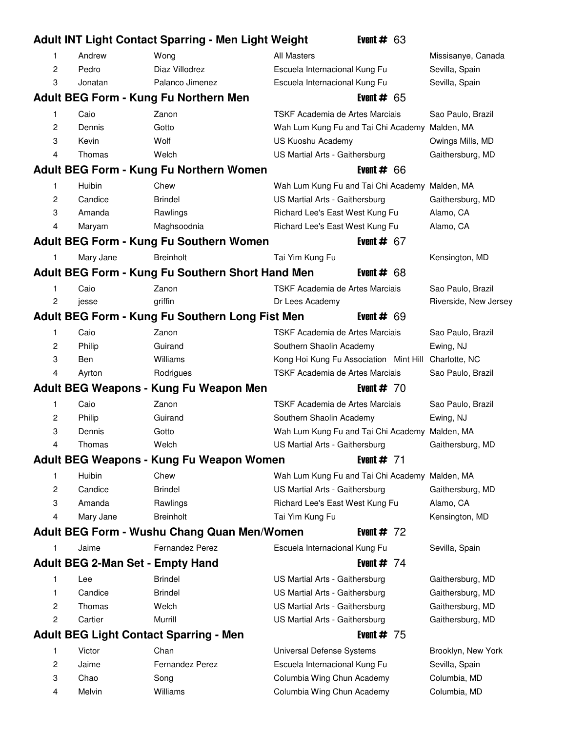|                |                                         | <b>Adult INT Light Contact Sparring - Men Light Weight</b> |                                                          | Event # $63$ |                       |
|----------------|-----------------------------------------|------------------------------------------------------------|----------------------------------------------------------|--------------|-----------------------|
| 1              | Andrew                                  | Wong                                                       | <b>All Masters</b>                                       |              | Missisanye, Canada    |
| 2              | Pedro                                   | Diaz Villodrez                                             | Escuela Internacional Kung Fu                            |              | Sevilla, Spain        |
| 3              | Jonatan                                 | Palanco Jimenez                                            | Escuela Internacional Kung Fu                            |              | Sevilla, Spain        |
|                |                                         | Adult BEG Form - Kung Fu Northern Men                      |                                                          | Event $# 65$ |                       |
| 1              | Caio                                    | Zanon                                                      | TSKF Academia de Artes Marciais                          |              | Sao Paulo, Brazil     |
| 2              | Dennis                                  | Gotto                                                      | Wah Lum Kung Fu and Tai Chi Academy Malden, MA           |              |                       |
| 3              | Kevin                                   | Wolf                                                       | US Kuoshu Academy                                        |              | Owings Mills, MD      |
| $\overline{4}$ | Thomas                                  | Welch                                                      | US Martial Arts - Gaithersburg                           |              | Gaithersburg, MD      |
|                |                                         | Adult BEG Form - Kung Fu Northern Women                    |                                                          | Event $# 66$ |                       |
| 1              | Huibin                                  | Chew                                                       | Wah Lum Kung Fu and Tai Chi Academy Malden, MA           |              |                       |
| $\overline{c}$ | Candice                                 | <b>Brindel</b>                                             | US Martial Arts - Gaithersburg                           |              | Gaithersburg, MD      |
| 3              | Amanda                                  | Rawlings                                                   | Richard Lee's East West Kung Fu                          |              | Alamo, CA             |
| 4              | Maryam                                  | Maghsoodnia                                                | Richard Lee's East West Kung Fu                          |              | Alamo, CA             |
|                |                                         | Adult BEG Form - Kung Fu Southern Women                    |                                                          | Event $# 67$ |                       |
| 1              | Mary Jane                               | <b>Breinholt</b>                                           | Tai Yim Kung Fu                                          |              | Kensington, MD        |
|                |                                         | Adult BEG Form - Kung Fu Southern Short Hand Men           |                                                          | Event # $68$ |                       |
|                | Caio                                    | Zanon                                                      | TSKF Academia de Artes Marciais                          |              | Sao Paulo, Brazil     |
| 2              | jesse                                   | griffin                                                    | Dr Lees Academy                                          |              | Riverside, New Jersey |
|                |                                         | Adult BEG Form - Kung Fu Southern Long Fist Men            |                                                          | Event $# 69$ |                       |
| 1.             | Caio                                    | Zanon                                                      | TSKF Academia de Artes Marciais                          |              | Sao Paulo, Brazil     |
| 2              | Philip                                  | Guirand                                                    | Southern Shaolin Academy                                 |              | Ewing, NJ             |
| 3              | Ben                                     | Williams                                                   | Kong Hoi Kung Fu Association Mint Hill Charlotte, NC     |              |                       |
| 4              | Ayrton                                  | Rodrigues                                                  | TSKF Academia de Artes Marciais                          |              | Sao Paulo, Brazil     |
|                |                                         | Adult BEG Weapons - Kung Fu Weapon Men                     |                                                          | Event $# 70$ |                       |
| 1              | Caio                                    | Zanon                                                      | TSKF Academia de Artes Marciais                          |              | Sao Paulo, Brazil     |
| 2              | Philip                                  | Guirand                                                    | Southern Shaolin Academy                                 |              | Ewing, NJ             |
| 3              | Dennis                                  | Gotto                                                      | Wah Lum Kung Fu and Tai Chi Academy Malden, MA           |              |                       |
| 4              | Thomas                                  | Welch                                                      | US Martial Arts - Gaithersburg                           |              | Gaithersburg, MD      |
|                |                                         | Adult BEG Weapons - Kung Fu Weapon Women                   |                                                          | Event $# 71$ |                       |
| 1.             | Huibin                                  | Chew                                                       | Wah Lum Kung Fu and Tai Chi Academy Malden, MA           |              |                       |
| 2              | Candice                                 | <b>Brindel</b>                                             | US Martial Arts - Gaithersburg                           |              | Gaithersburg, MD      |
| 3              | Amanda                                  | Rawlings                                                   | Richard Lee's East West Kung Fu                          |              | Alamo, CA             |
| 4              | Mary Jane                               | <b>Breinholt</b>                                           | Tai Yim Kung Fu                                          |              | Kensington, MD        |
|                |                                         | <b>Adult BEG Form - Wushu Chang Quan Men/Women</b>         |                                                          | Event $# 72$ |                       |
| 1              |                                         |                                                            |                                                          |              |                       |
|                | Jaime                                   | Fernandez Perez                                            | Escuela Internacional Kung Fu                            |              | Sevilla, Spain        |
|                | <b>Adult BEG 2-Man Set - Empty Hand</b> |                                                            |                                                          | Event $# 74$ |                       |
| 1              | Lee                                     | <b>Brindel</b>                                             | US Martial Arts - Gaithersburg                           |              | Gaithersburg, MD      |
| 1              | Candice                                 | <b>Brindel</b>                                             | US Martial Arts - Gaithersburg                           |              | Gaithersburg, MD      |
| 2              | Thomas                                  | Welch                                                      | US Martial Arts - Gaithersburg                           |              | Gaithersburg, MD      |
| 2              | Cartier                                 | Murrill                                                    | US Martial Arts - Gaithersburg                           |              | Gaithersburg, MD      |
|                |                                         | <b>Adult BEG Light Contact Sparring - Men</b>              |                                                          | Event $# 75$ |                       |
| 1              | Victor                                  | Chan                                                       | Universal Defense Systems                                |              | Brooklyn, New York    |
| 2              | Jaime                                   | <b>Fernandez Perez</b>                                     | Escuela Internacional Kung Fu                            |              | Sevilla, Spain        |
| 3              | Chao                                    | Song                                                       | Columbia Wing Chun Academy<br>Columbia Wing Chun Academy |              | Columbia, MD          |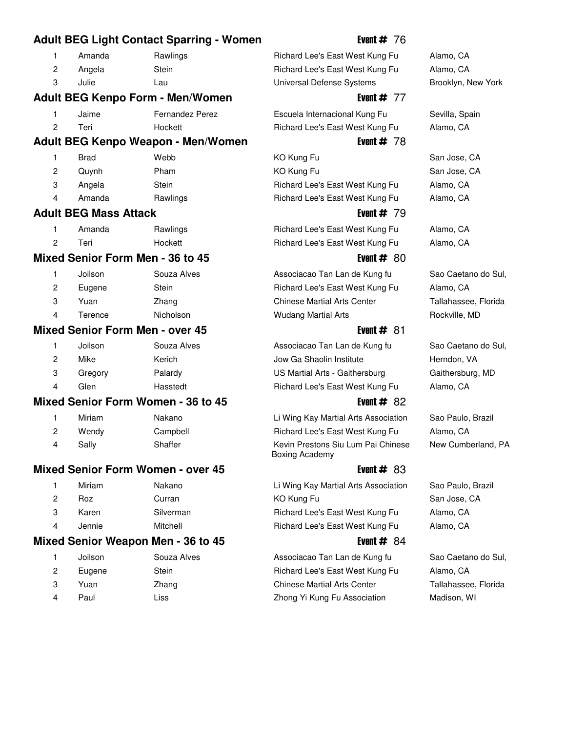### **Adult BEG Light Contact Sparring - Women** Event # 76

|    | Amanda | Rawling |
|----|--------|---------|
| -2 | Angela | Stein   |
| -3 | Julie  | Lau     |

### **Adult BEG Kenpo Form - Men/Women** Form and The Event # 77

| Jaime | <b>Fernandez Perez</b> | Escuela Internacional Kung Fu   | Sevilla, Spain |
|-------|------------------------|---------------------------------|----------------|
| Teri  | Hockett                | Richard Lee's East West Kung Fu | Alamo, CA      |

### Adult BEG Kenpo Weapon - Men/Women **Example 2018** Event # 78

| 1                      | Brad              | Webb     |
|------------------------|-------------------|----------|
| 2                      | Quynh             | Pham     |
| -3                     | Angela            | Stein    |
| $\boldsymbol{\Lambda}$ | 0 <sub>mass</sub> | Doulings |

### **Adult BEG Mass Attack Event # 79 Event # 79**

|   | Amanda | Rawlings |
|---|--------|----------|
| 2 | Teri   | Hockett  |

### **Mixed Senior Form Men - 36 to 45** Event # 80

| 1 | Joilson | Souza Alves |
|---|---------|-------------|
| 2 | Eugene  | Stein       |
| З | Yuan    | Zhang       |
| 4 | Terence | Nicholson   |

### **Mixed Senior Form Men - over 45** Event # 81

|   | Joilson | Souza Alves |
|---|---------|-------------|
| 2 | Mike    | Kerich      |
| 3 | Gregory | Palardy     |
| 4 | Glen    | Hasstedt    |

### **Mixed Senior Form Women - 36 to 45** Event # 82

|   | Miriam | Nakano   |
|---|--------|----------|
| 2 | Wendy  | Campbell |
| 4 | Sally  | Shaffer  |

### **Mixed Senior Form Women - over 45** All Alleman Museum Museum & Event # 83

| 1 | Miriam | Nakano    |
|---|--------|-----------|
| 2 | Roz    | Curran    |
| 3 | Karen  | Silverman |
| 4 | Jennie | Mitchell  |

### **Mixed Senior Weapon Men - 36 to 45** Event # 84

| 1 | Joilson | Souza Alve |
|---|---------|------------|
| 2 | Eugene  | Stein      |
| 3 | Yuan    | Zhang      |
| 4 | Paul    | Liss       |
|   |         |            |

### gs 17 Amanda Lee's East West Kung Fu 17 Alamo, CA Richard Lee's East West Kung Fu Alamo, CA Universal Defense Systems Brooklyn, New York

11 Brad Webb 13 KO Kung Fu San Jose, CA 2 KO Kung Fu San Jose, CA Richard Lee's East West Kung Fu Alamo, CA Amanda **17 Rawlings 17 Richard Lee's East West Kung Fu** Alamo, CA

Richard Lee's East West Kung Fu Alamo, CA Richard Lee's East West Kung Fu Alamo, CA

Associacao Tan Lan de Kung fu Sao Caetano do Sul, Richard Lee's East West Kung Fu Alamo, CA Chinese Martial Arts Center Tallahassee, Florida Wudang Martial Arts **Rockville**, MD

Associacao Tan Lan de Kung fu Sao Caetano do Sul, Jow Ga Shaolin Institute Herndon, VA US Martial Arts - Gaithersburg Gaithersburg, MD Richard Lee's East West Kung Fu Alamo, CA

Li Wing Kay Martial Arts Association Sao Paulo, Brazil Richard Lee's East West Kung Fu Alamo, CA Kevin Prestons Siu Lum Pai Chinese New Cumberland, PA Boxing Academy

Li Wing Kay Martial Arts Association Sao Paulo, Brazil 2 KO Kung Fu San Jose, CA Richard Lee's East West Kung Fu Alamo, CA Richard Lee's East West Kung Fu Alamo, CA

1 1 Joseph Souza Associacao Tan Lan de Kung fu Sao Caetano do Sul, Richard Lee's East West Kung Fu Alamo, CA Chinese Martial Arts Center Tallahassee, Florida Zhong Yi Kung Fu Association Madison, WI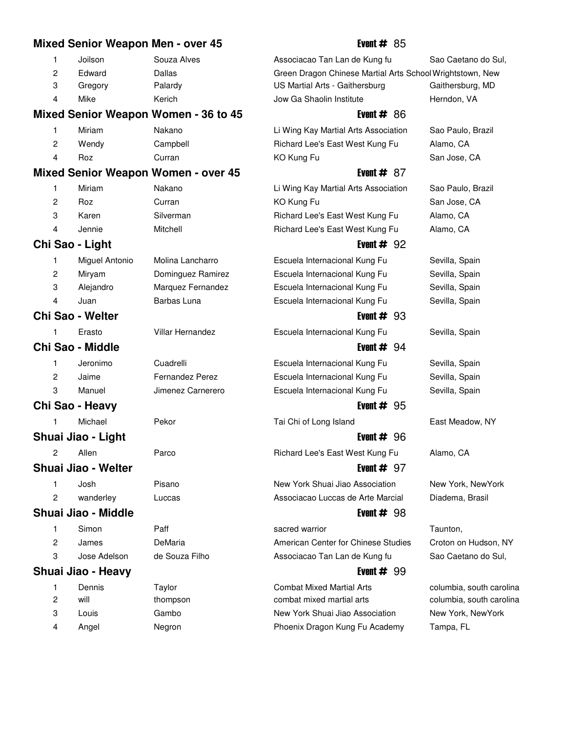# **Mixed Senior Weapon Men - over 45** Event # 85 1 Joilson Souza Alves 44 Associacao Tan Lan de Kung fu Sao Caetano do Sul, 2 Edward Dallas 16 Dallas 16 Green Dragon Chinese Martial Arts School Wrightstown, New 3 Gregory Palardy 16 US Martial Arts - Gaithersburg Gaithersburg, MD 4 Mike 65 Kerich 65 Jow Ga Shaolin Institute Herndon, VA **Mixed Senior Weapon Women - 36 to 45** Event # 86 1 Miriam Nakano 30 Li Wing Kay Martial Arts Association Sao Paulo, Brazil 2 Wendy Campbell 67 Richard Lee's East West Kung Fu Alamo, CA 4 Roz Curran 28 KO Kung Fu San Jose, CA **Mixed Senior Weapon Women - over 45** Allowski Event # 87 1 Miriam Nakano 30 Li Wing Kay Martial Arts Association Sao Paulo, Brazil 2 Roz Curran 28 KO Kung Fu San Jose, CA 3 Karen Silverman 58 Richard Lee's East West Kung Fu Alamo, CA 4 Jennie Mitchell 42 Richard Lee's East West Kung Fu Alamo, CA **Chi Sao - Light** Event # 92 1 Miguel Antonio Molina Lancharro 12 Escuela Internacional Kung Fu Sevilla, Spain 2 Miryam Dominguez Ramirez **37 Escuela Internacional Kung Fu** Sevilla, Spain 3 Alejandro Marquez Fernandez **60 Escuela Internacional Kung Fu** Sevilla, Spain 4 Juan **Barbas Luna** 13 Escuela Internacional Kung Fu Sevilla, Spain **Chi Sao - Welter Event # 93** 1 Erasto Villar Hernandez **13 Escuela Internacional Kung Fu** Sevilla, Spain **Chi Sao - Middle** Event # 94 1 Jeronimo Cuadrelli 13 Escuela Internacional Kung Fu Sevilla, Spain 2 Jaime Fernandez Perez **16 Escuela Internacional Kung Fu** Sevilla, Spain 3 Manuel Jimenez Carnerero **12 Escuela Internacional Kung Fu** Sevilla, Spain **Chi Sao - Heavy Event # 95** 1 Michael Pekor 1 Tai Chi of Long Island 20 Tast Meadow, NY **Shuai Jiao - Light** Event # 96 2 Allen Parco 17 Richard Lee's East West Kung Fu Alamo, CA **Shuai Jiao - Welter Event American American Event # 97** 1 Josh Pisano 98 New York Shuai Jiao Association New York, NewYork 2 wanderley Luccas 20 Associacao Luccas de Arte Marcial Diadema, Brasil **Shuai Jiao - Middle** Event # 98 1 Simon **Paff 19 Simon** Part Part **19 sacred warrior 19 Simon** Taunton, 2 James DeMaria 40 DeMaria 40 American Center for Chinese Studies Croton on Hudson, NY 3 Jose Adelson de Souza Filho 17 Associacao Tan Lan de Kung fu Sao Caetano do Sul, **Shuai Jiao - Heavy Event Algebraic Event # 99** 1 Dennis Taylor 20 Combat Mixed Martial Arts columbia, south carolina 2 will thompson combat mixed martial arts columbia, south carolina 3 Louis Gambo 15 Gambo 15 New York Shuai Jiao Association 15 New York, NewYork 4 Angel 16 Negron 16 Phoenix Dragon Kung Fu Academy Tampa, FL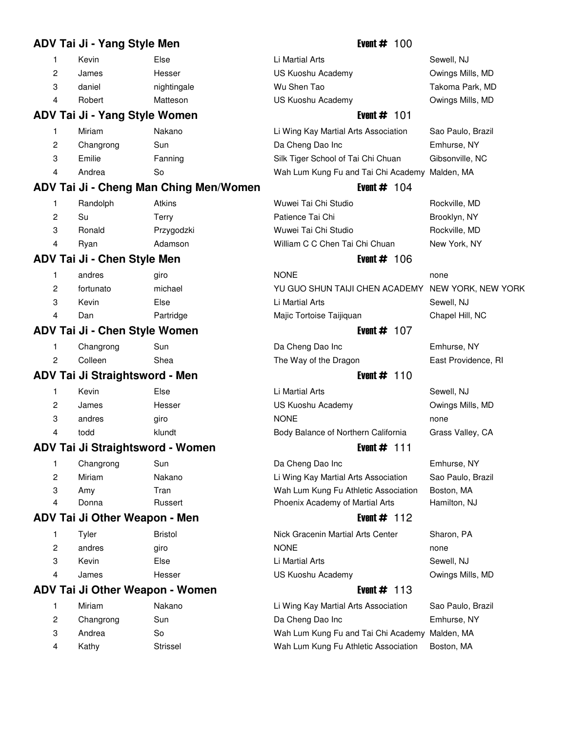# **ADV Tai Ji - Yang Style Men Event # 100** 1 Kevin **Else** 10 Li Martial Arts 10 Sewell, NJ 2 James Hesser 10 US Kuoshu Academy 10 Owings Mills, MD 3 daniel nightingale 20 Wu Shen Tao Takoma Park, MD 4 Robert Matteson 15 US Kuoshu Academy 15 Owings Mills, MD **ADV Tai Ji - Yang Style Women** Event # 101 1 Miriam Nakano 30 Li Wing Kay Martial Arts Association Sao Paulo, Brazil 2 Changrong Sun 17 Da Cheng Dao Inc 17 Damas Emhurse, NY 3 Emilie Fanning 14 Silk Tiger School of Tai Chi Chuan Gibsonville, NC 4 Andrea So 70 So 70 Wah Lum Kung Fu and Tai Chi Academy Malden, MA **ADV Tai Ji - Cheng Man Ching Men/Women** Event # 104 1 Randolph Atkins 52 Atkins 52 Wuwei Tai Chi Studio Rockville, MD 2 Su 32 Terry 22 Patience Tai Chi Brooklyn, NY 3 Ronald Przygodzki 4 Wuwei Tai Chi Studio Archivele, MD 4 Ryan **Adamson** 16 **William C C Chen Tai Chi Chuan** New York, NY **ADV Tai Ji - Chen Style Men** Event # 106 1 andres giro 14 NONE none 2 fortunato michael 19 YU GUO SHUN TAIJI CHEN ACADEMY NEW YORK, NEW YORK 3 Kevin Else 10 Li Martial Arts Sewell, NJ 4 Dan **Partridge 19 Majic Tortoise Taijiquan** Chapel Hill, NC **ADV Tai Ji - Chen Style Women** Event # 107 1 Changrong Sun 17 Da Cheng Dao Inc 17 Damas Emhurse, NY 2 Colleen Shea 68 The Way of the Dragon East Providence, RI **ADV Tai Ji Straightsword - Men** Event # 110 1 Kevin Else 10 Li Martial Arts Sewell, NJ 2 James Hesser 10 US Kuoshu Academy 10 Owings Mills, MD 3 andres giro NONE none 4 todd **16 Body Balance of Northern California** Grass Valley, CA **ADV Tai Ji Straightsword - Women** Event # 111 1 Changrong Sun 17 Da Cheng Dao Inc 17 Da Cheng Dao Inc 2011 Emhurse, NY 2 Miriam Nakano 30 Li Wing Kay Martial Arts Association Sao Paulo, Brazil 3 Amy Tran 67 Tran 67 Wah Lum Kung Fu Athletic Association Boston, MA 4 Donna **Russert Russert** Phoenix Academy of Martial Arts Hamilton, NJ **ADV Tai Ji Other Weapon - Men** Event # 112 1 Tyler Bristol Bristol 18 Nick Gracenin Martial Arts Center Sharon, PA 2 andres giro 14 NONE 14 andres none 3 Kevin Else 10 Li Martial Arts Sewell, NJ 4 James Hesser 10 US Kuoshu Academy 10 Owings Mills, MD **ADV Tai Ji Other Weapon - Women** Event # 113 1 Miriam Nakano 30 Li Wing Kay Martial Arts Association Sao Paulo, Brazil 2 Changrong Sun 17 Da Cheng Dao Inc Emhurse, NY 3 Andrea So 70 So 70 Wah Lum Kung Fu and Tai Chi Academy Malden, MA

4 Kathy Strissel 12 Wah Lum Kung Fu Athletic Association Boston, MA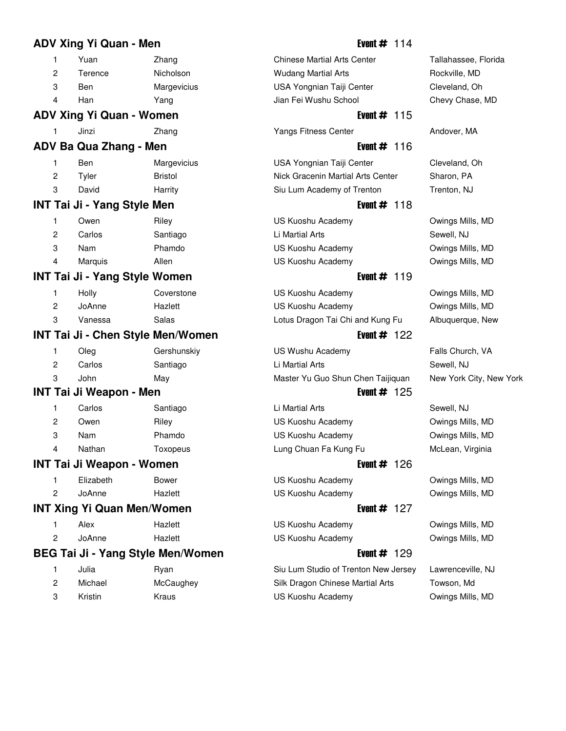# **ADV Xing Yi Quan - Men Event # 114** 1 Yuan 2hang 14 Chinese Martial Arts Center Tallahassee, Florida 2 Terence Nicholson 1920 Wudang Martial Arts Rockville, MD 3 Ben Margevicius 17 USA Yongnian Taiji Center Cleveland, Oh 4 Han 19 Yang 19 Jian Fei Wushu School Chevy Chase, MD **ADV Xing Yi Quan - Women** Event # 115 1 Jinzi 2hang 13 Yangs Fitness Center Andover, MA **ADV Ba Qua Zhang - Men Event # 116** 1 Ben Margevicius 15 USA Yongnian Taiji Center Cleveland, Oh 2 Tyler **Bristol 18 Nick Gracenin Martial Arts Center** Sharon, PA 3 David Harrity 20 Siu Lum Academy of Trenton Trenton, NJ **INT Tai Ji - Yang Style Men Event # 118** 1 Owen Riley 18 Riley 18 Ruoshu Academy 18 Owings Mills, MD 2 Carlos Santiago Li Martial Arts Sewell, NJ 3 Nam Phamdo 14 US Kuoshu Academy 14 Owings Mills, MD 4 Marquis 20 Allen 18 US Kuoshu Academy 18 US Kuoshu Academy 18 Nulls, MD **INT Tai Ji - Yang Style Women Event # 119** 1 Holly Coverstone 15 US Kuoshu Academy 14 Owings Mills, MD 2 JoAnne Hazlett 18 Hazlett 18 US Kuoshu Academy 19 Owings Mills, MD 3 Vanessa Salas 18 Lotus Dragon Tai Chi and Kung Fu Albuquerque, New **INT Tai Ji - Chen Style Men/Women** Event # 122 1 Oleg Gershunskiy 10 US Wushu Academy Falls Church, VA 2 Carlos Santiago 17 Li Martial Arts Sewell, NJ 3 John May Master Yu Guo Shun Chen Taijiquan New York City, New York **INT Tai Ji Weapon - Men Event # 125** 1 Carlos Santiago 17 Li Martial Arts Sewell, NJ 2 Owen Riley 18 Riley 18 Ruoshu Academy 18 Owings Mills, MD 3 Nam Phamdo 14 US Kuoshu Academy 14 Owings Mills, MD 4 Nathan Toxopeus 15 Lung Chuan Fa Kung Fu McLean, Virginia **INT Tai Ji Weapon - Women Event # 126** 1 Elizabeth Bower 14 US Kuoshu Academy Cwings Mills, MD 2 JoAnne Hazlett 18 Hazlett 18 US Kuoshu Academy 19 Owings Mills, MD **INT Xing Yi Quan Men/Women Event # 127**

1 Alex **Hazlett** 12 US Kuoshu Academy **Owings Mills, MD** 2 JoAnne Hazlett 18 Hazlett 18 US Kuoshu Academy 19 Owings Mills, MD

# **BEG Tai Ji - Yang Style Men/Women** Figure 2014 **Event # 129**

|     | Julia   | Rvan      |
|-----|---------|-----------|
| - 2 | Michael | McCaughey |
| -3  | Kristin | Kraus     |

Siu Lum Studio of Trenton New Jersey Lawrenceville, NJ Silk Dragon Chinese Martial Arts Towson, Md US Kuoshu Academy **Owings Mills, MD**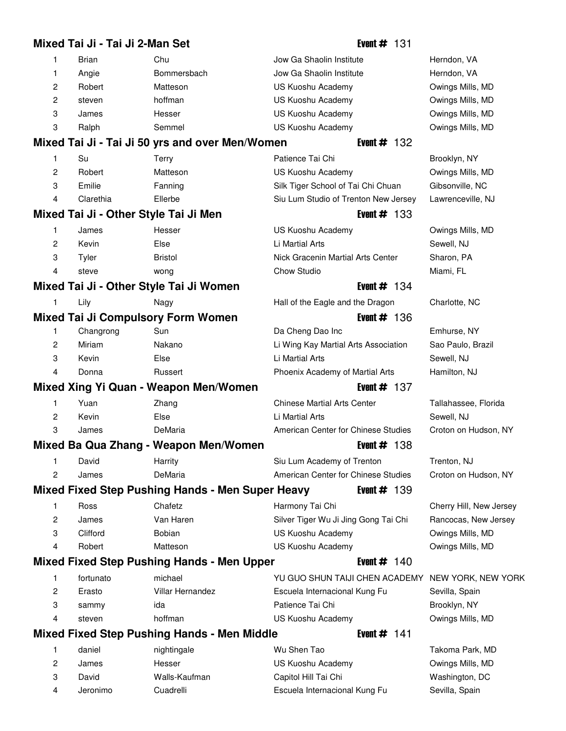# **Mixed Tai Ji - Tai Ji 2-Man Set** And All Andrew **Event # 131** 1 Brian Chu 19 Chu 19 Jow Ga Shaolin Institute Herndon, VA 1 Angie 19 Bommersbach 36 Jow Ga Shaolin Institute Herndon, VA 2 Robert Matteson 75 US Kuoshu Academy 75 Owings Mills, MD 2 steven hoffman 18 US Kuoshu Academy 0wings Mills, MD 3 James Hesser 10 US Kuoshu Academy 10 Owings Mills, MD 3 Ralph 19 Semmel 19 US Kuoshu Academy 19 Owings Mills, MD **Mixed Tai Ji - Tai Ji 50 yrs and over Men/Women** Event # 132 1 Su Terry Ratience Tai Chi Brooklyn, NY 2 Robert Matteson 75 US Kuoshu Academy 75 Owings Mills, MD 3 Emilie Fanning 14 Silk Tiger School of Tai Chi Chuan Gibsonville, NC 4 Clarethia Ellerbe 86 Siu Lum Studio of Trenton New Jersey Lawrenceville, NJ **Mixed Tai Ji - Other Style Tai Ji Men Example 2018 Event # 133** 1 James Hesser 10 US Kuoshu Academy 10 Owings Mills, MD 2 Kevin **Else** 10 Li Martial Arts 10 Sewell, NJ 3 Tyler Bristol 18 Nick Gracenin Martial Arts Center Sharon, PA 4 steve wong 18 Chow Studio Miami, FL **Mixed Tai Ji - Other Style Tai Ji Women** Figure 2014 **Event # 134** 1 Lily 19 Nagy 19 Hall of the Eagle and the Dragon Charlotte, NC **Mixed Tai Ji Compulsory Form Women Example 20 Tai 4 Tagging Arrow Regard Arrow Figure 4 Tagging Arrow Regard Arrow Regard Arrow Regard Arrow Regard Arrow Regard Arrow Regard Arrow Regard Arrow Regard Arrow Regard Arrow** 1 Changrong Sun 17 Da Cheng Dao Inc Emhurse, NY 2 Miriam Nakano 30 Li Wing Kay Martial Arts Association Sao Paulo, Brazil 3 Kevin Else 10 Li Martial Arts Sewell, NJ 4 Donna **Russert 78 Phoenix Academy of Martial Arts** Hamilton, NJ **Mixed Xing Yi Quan - Weapon Men/Women** Figure 2008 **Event # 137** 1 Yuan 2hang 14 Chinese Martial Arts Center Tallahassee, Florida 2 Kevin Else 10 Li Martial Arts Sewell, NJ 3 James DeMaria 40 American Center for Chinese Studies Croton on Hudson, NY **Mixed Ba Qua Zhang - Weapon Men/Women** Event # 138 1 David Harrity 20 Siu Lum Academy of Trenton Trenton, NJ 2 James DeMaria 40 DeMaria 40 American Center for Chinese Studies Croton on Hudson, NY **Mixed Fixed Step Pushing Hands - Men Super Heavy Film Film # 139** 1 Ross Chafetz **19 Chafets** Harmony Tai Chi Cherry Hill, New Jersey 2 James Van Haren 83 Silver Tiger Wu Ji Jing Gong Tai Chi Rancocas, New Jersey 3 Clifford Bobian 15 Bobian 15 US Kuoshu Academy 15 Owings Mills, MD 4 Robert Matteson 15 US Kuoshu Academy 15 Owings Mills, MD **Mixed Fixed Step Pushing Hands - Men Upper** Event # 140 1 fortunato michael 19 Michael 19 YU GUO SHUN TAIJI CHEN ACADEMY NEW YORK, NEW YORK 2 Erasto Villar Hernandez **13 Escuela Internacional Kung Fu** Sevilla, Spain 3 sammy ida 19 Patience Tai Chi Brooklyn, NY 4 steven hoffman 18 US Kuoshu Academy 18 US Kuoshu Academy 18 US Kuoshu Academy 18 Nulls, MD **Mixed Fixed Step Pushing Hands - Men Middle Fixed Fixed Step Pushing Hands - Men Middle** 1 daniel nightingale 20 Wu Shen Tao Takoma Park, MD 2 James Hesser 10 US Kuoshu Academy 10 Owings Mills, MD

3 David Walls-Kaufman Capitol Hill Tai Chi Washington, DC 4 Jeronimo Cuadrelli 13 Escuela Internacional Kung Fu Sevilla, Spain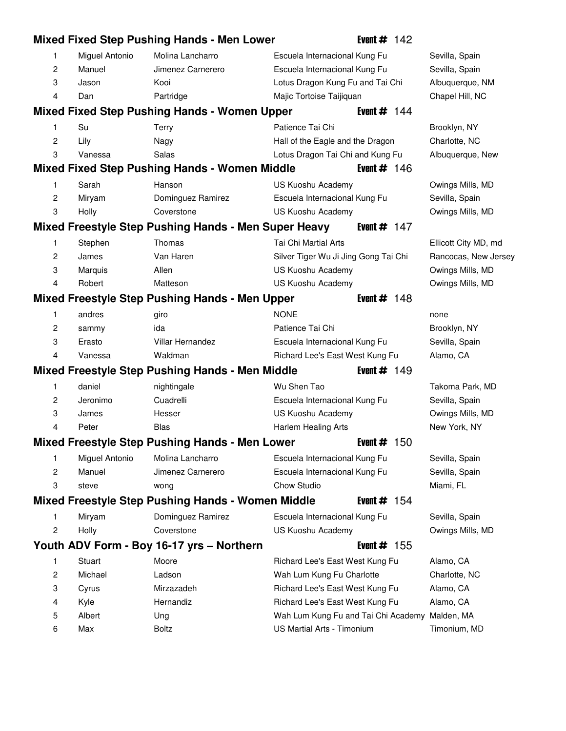|   |                | <b>Mixed Fixed Step Pushing Hands - Men Lower</b>     |                                      | Event $# 142$  |                      |
|---|----------------|-------------------------------------------------------|--------------------------------------|----------------|----------------------|
| 1 | Miguel Antonio | Molina Lancharro                                      | Escuela Internacional Kung Fu        |                | Sevilla, Spain       |
| 2 | Manuel         | Jimenez Carnerero                                     | Escuela Internacional Kung Fu        |                | Sevilla, Spain       |
| 3 | Jason          | Kooi                                                  | Lotus Dragon Kung Fu and Tai Chi     |                | Albuquerque, NM      |
| 4 | Dan            | Partridge                                             | Majic Tortoise Taijiquan             |                | Chapel Hill, NC      |
|   |                | <b>Mixed Fixed Step Pushing Hands - Women Upper</b>   |                                      | Event $# 144$  |                      |
| 1 | Su             | Terry                                                 | Patience Tai Chi                     |                | Brooklyn, NY         |
| 2 | Lily           | Nagy                                                  | Hall of the Eagle and the Dragon     |                | Charlotte, NC        |
| 3 | Vanessa        | Salas                                                 | Lotus Dragon Tai Chi and Kung Fu     |                | Albuquerque, New     |
|   |                | <b>Mixed Fixed Step Pushing Hands - Women Middle</b>  |                                      | Event $\#$ 146 |                      |
| 1 | Sarah          | Hanson                                                | US Kuoshu Academy                    |                | Owings Mills, MD     |
| 2 | Miryam         | Dominguez Ramirez                                     | Escuela Internacional Kung Fu        |                | Sevilla, Spain       |
| 3 | Holly          | Coverstone                                            | US Kuoshu Academy                    |                | Owings Mills, MD     |
|   |                | Mixed Freestyle Step Pushing Hands - Men Super Heavy  |                                      | Event $# 147$  |                      |
| 1 | Stephen        | Thomas                                                | Tai Chi Martial Arts                 |                | Ellicott City MD, md |
| 2 | James          | Van Haren                                             | Silver Tiger Wu Ji Jing Gong Tai Chi |                | Rancocas, New Jersey |
| 3 | Marquis        | Allen                                                 | US Kuoshu Academy                    |                | Owings Mills, MD     |
| 4 | Robert         | Matteson                                              | US Kuoshu Academy                    |                | Owings Mills, MD     |
|   |                | <b>Mixed Freestyle Step Pushing Hands - Men Upper</b> |                                      | Event $# 148$  |                      |
| 1 | andres         | giro                                                  | <b>NONE</b>                          |                | none                 |
| 2 | sammy          | ida                                                   | Patience Tai Chi                     |                | Brooklyn, NY         |
| 3 | Erasto         | Villar Hernandez                                      | Escuela Internacional Kung Fu        |                | Sevilla, Spain       |
| 4 | Vanessa        | Waldman                                               | Richard Lee's East West Kung Fu      |                | Alamo, CA            |
|   |                | Mixed Freestyle Step Pushing Hands - Men Middle       |                                      | Event $# 149$  |                      |
| 1 | daniel         | nightingale                                           | Wu Shen Tao                          |                | Takoma Park, MD      |
| 2 | Jeronimo       | Cuadrelli                                             | Escuela Internacional Kung Fu        |                | Sevilla, Spain       |
| 3 | James          | Hesser                                                | US Kuoshu Academy                    |                | Owings Mills, MD     |
| 4 | Peter          | <b>Blas</b>                                           | Harlem Healing Arts                  |                | New York, NY         |
|   |                | <b>Mixed Freestyle Step Pushing Hands - Men Lower</b> |                                      | Event $#$ 150  |                      |
| 1 | Miguel Antonio | Molina Lancharro                                      | Escuela Internacional Kung Fu        |                | Sevilla, Spain       |
| 2 | Manuel         | Jimenez Carnerero                                     | Escuela Internacional Kung Fu        |                | Sevilla, Spain       |
| 3 | steve          | wong                                                  | Chow Studio                          |                | Miami, FL            |
|   |                | Mixed Freestyle Step Pushing Hands - Women Middle     |                                      | Event $# 154$  |                      |
| 1 | Miryam         | Dominguez Ramirez                                     | Escuela Internacional Kung Fu        |                | Sevilla, Spain       |
| 2 | Holly          | Coverstone                                            | US Kuoshu Academy                    |                | Owings Mills, MD     |
|   |                | Youth ADV Form - Boy 16-17 yrs - Northern             |                                      | Event $#$ 155  |                      |
| 1 | Stuart         | Moore                                                 | Richard Lee's East West Kung Fu      |                | Alamo, CA            |
| 2 | Michael        | Ladson                                                | Wah Lum Kung Fu Charlotte            |                | Charlotte, NC        |
| 3 | Cyrus          | Mirzazadeh                                            | Richard Lee's East West Kung Fu      |                | Alamo, CA            |
| 4 | Kyle           | Hernandiz                                             | Richard Lee's East West Kung Fu      |                | Alamo, CA            |
| 5 | Albert         | Ung                                                   | Wah Lum Kung Fu and Tai Chi Academy  |                | Malden, MA           |
| 6 | Max            | Boltz                                                 | US Martial Arts - Timonium           |                | Timonium, MD         |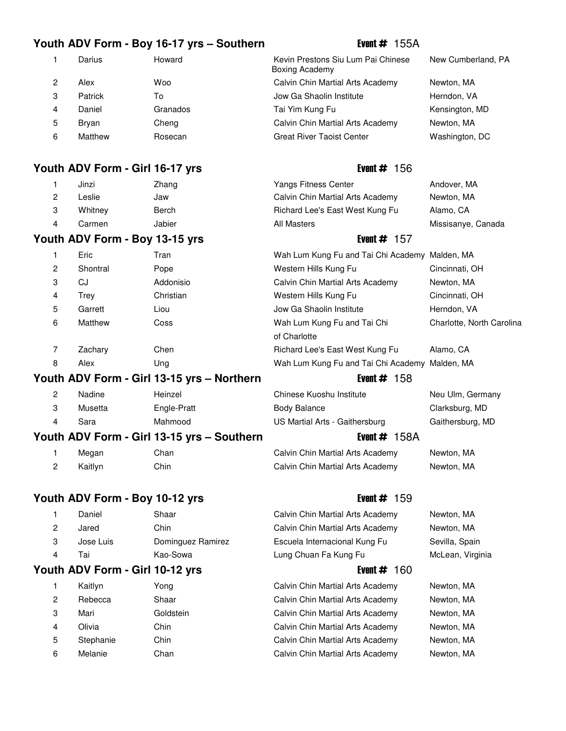### **Youth ADV Form - Boy 16-17 yrs – Southern** Event # 155A

### **Youth ADV Form - Girl 16-17 yrs** Event # 156

| 1 | Jinzi   | Zhang  |
|---|---------|--------|
| 2 | Leslie  | Jaw    |
| 3 | Whitney | Berch  |
| 4 | Carmen  | Jabier |
|   |         |        |

### **Youth ADV Form - Boy 13-15 yrs** Event # 157

| 1 | Eric     | Tran      | Wah Lum Kı         |
|---|----------|-----------|--------------------|
|   |          |           |                    |
| 2 | Shontral | Pope      | Western Hill       |
| 3 | CJ       | Addonisio | Calvin Chin        |
| 4 | Trey     | Christian | Western Hill       |
| 5 | Garrett  | Liou      | Jow Ga Sha         |
| 6 | Matthew  | Coss      | Wah Lum Ki         |
|   |          |           | of Charlotte       |
| 7 | Zachary  | Chen      | <b>Richard Lee</b> |
| 8 | Alex     | Ung       | Wah Lum Kı         |
|   |          |           |                    |

### **Youth ADV Form - Girl 13-15 yrs – Northern Frank Event # 158**

| --- |         |             |                                |                  |
|-----|---------|-------------|--------------------------------|------------------|
|     | Sara    | Mahmood     | US Martial Arts - Gaithersburg | Gaithersburg, MD |
|     | Musetta | Engle-Pratt | <b>Body Balance</b>            | Clarksburg, MD   |
|     | Nadine  | Heinzel     | Chinese Kuoshu Institute       | Neu Ulm, Germany |

### **Youth ADV Form - Girl 13-15 yrs – Southern The Contract Event # 158A**

1 Megan 14 Chan 14 Chan 14 Calvin Chin Martial Arts Academy Newton, MA 2 Kaitlyn Chin 18 Chin 18 Calvin Chin Martial Arts Academy Newton, MA

# **Youth ADV Form - Boy 10-12 yrs** Event # 159

|   | Daniel    | Shaar             |
|---|-----------|-------------------|
| 2 | Jared     | Chin              |
| 3 | Jose Luis | Dominguez Ramirez |
|   | Tai       | Kao-Sowa          |

# **Youth ADV Form - Girl 10-12 yrs Event # 160**

|   | Kaitlyn   | Yong      |
|---|-----------|-----------|
| 2 | Rebecca   | Shaar     |
| 3 | Mari      | Goldsteir |
| 4 | Olivia    | Chin      |
| 5 | Stephanie | Chin      |
| 6 | Melanie   | Chan      |
|   |           |           |

1 Darius Howard 1 Kevin Prestons Siu Lum Pai Chinese New Cumberland, PA Boxing Academy 2 Alex Woo 56 Calvin Chin Martial Arts Academy Newton, MA 3 Patrick To 67 Jow Ga Shaolin Institute Herndon, VA 4 Daniel Granados 19 Tai Yim Kung Fu 19 Kensington, MD 5 Bryan Cheng 13 Cheng 13 Calvin Chin Martial Arts Academy Newton, MA 6 Matthew Rosecan 16 Great River Taoist Center 16 Washington, DC

Yangs Fitness Center **13 Andover**, MA Calvin Chin Martial Arts Academy Newton, MA Richard Lee's East West Kung Fu Alamo, CA All Masters **19 All Masters** 20 All Missisanye, Canada

|   | Eric     | Tran      | Wah Lum Kung Fu and Tai Chi Academy Malden, MA |                           |
|---|----------|-----------|------------------------------------------------|---------------------------|
| 2 | Shontral | Pope      | Western Hills Kung Fu                          | Cincinnati, OH            |
| 3 | CJ       | Addonisio | Calvin Chin Martial Arts Academy               | Newton, MA                |
| 4 | Trev     | Christian | Western Hills Kung Fu                          | Cincinnati, OH            |
| 5 | Garrett  | Liou      | Jow Ga Shaolin Institute                       | Herndon, VA               |
| 6 | Matthew  | Coss      | Wah Lum Kung Fu and Tai Chi                    | Charlotte, North Carolina |
|   |          |           | of Charlotte                                   |                           |
|   | Zachary  | Chen      | Richard Lee's East West Kung Fu                | Alamo, CA                 |
| 8 | Alex     | Ung       | Wah Lum Kung Fu and Tai Chi Academy Malden, MA |                           |
|   |          |           |                                                |                           |

Calvin Chin Martial Arts Academy Newton, MA Calvin Chin Martial Arts Academy Newton, MA Escuela Internacional Kung Fu Sevilla, Spain Lung Chuan Fa Kung Fu McLean, Virginia

Calvin Chin Martial Arts Academy Newton, MA Calvin Chin Martial Arts Academy Newton, MA 1 Martial Arts Academy Newton, MA Calvin Chin Martial Arts Academy Newton, MA Calvin Chin Martial Arts Academy Newton, MA Calvin Chin Martial Arts Academy Newton, MA

- 
-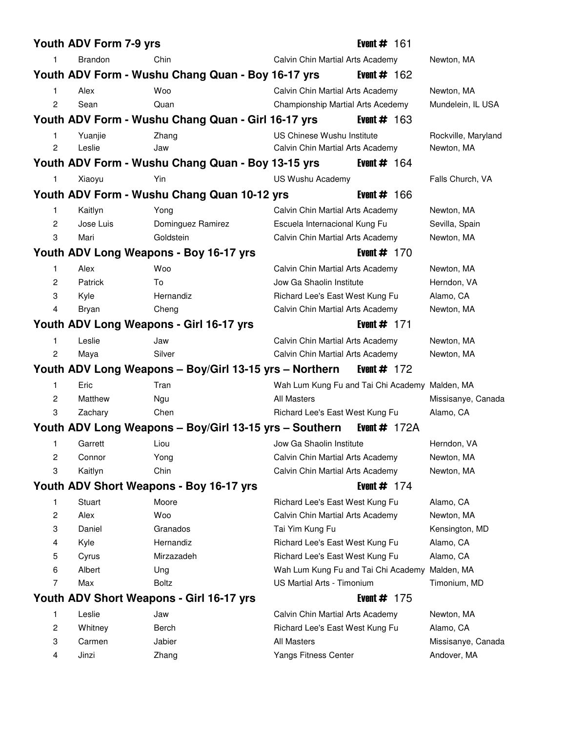|                | Youth ADV Form 7-9 yrs |                                                        |                                                | Event $#$ 161  |                     |
|----------------|------------------------|--------------------------------------------------------|------------------------------------------------|----------------|---------------------|
| 1              | Brandon                | Chin                                                   | Calvin Chin Martial Arts Academy               |                | Newton, MA          |
|                |                        | Youth ADV Form - Wushu Chang Quan - Boy 16-17 yrs      |                                                | Event $\#$ 162 |                     |
| 1.             | Alex                   | Woo                                                    | Calvin Chin Martial Arts Academy               |                | Newton, MA          |
| $\overline{c}$ | Sean                   | Quan                                                   | Championship Martial Arts Acedemy              |                | Mundelein, IL USA   |
|                |                        | Youth ADV Form - Wushu Chang Quan - Girl 16-17 yrs     |                                                | Event $\#$ 163 |                     |
| 1              | Yuanjie                | Zhang                                                  | US Chinese Wushu Institute                     |                | Rockville, Maryland |
| 2              | Leslie                 | Jaw                                                    | Calvin Chin Martial Arts Academy               |                | Newton, MA          |
|                |                        | Youth ADV Form - Wushu Chang Quan - Boy 13-15 yrs      |                                                | Event $\#$ 164 |                     |
| $\mathbf{1}$   | Xiaoyu                 | Yin                                                    | US Wushu Academy                               |                | Falls Church, VA    |
|                |                        | Youth ADV Form - Wushu Chang Quan 10-12 yrs            |                                                | Event $\#$ 166 |                     |
| 1              | Kaitlyn                | Yong                                                   | Calvin Chin Martial Arts Academy               |                | Newton, MA          |
| 2              | Jose Luis              | Dominguez Ramirez                                      | Escuela Internacional Kung Fu                  |                | Sevilla, Spain      |
| 3              | Mari                   | Goldstein                                              | Calvin Chin Martial Arts Academy               |                | Newton, MA          |
|                |                        | Youth ADV Long Weapons - Boy 16-17 yrs                 |                                                | Event $# 170$  |                     |
| 1              | Alex                   | Woo                                                    | Calvin Chin Martial Arts Academy               |                | Newton, MA          |
| $\overline{c}$ | Patrick                | To                                                     | Jow Ga Shaolin Institute                       |                | Herndon, VA         |
| 3              | Kyle                   | Hernandiz                                              | Richard Lee's East West Kung Fu                |                | Alamo, CA           |
| 4              | Bryan                  | Cheng                                                  | Calvin Chin Martial Arts Academy               |                | Newton, MA          |
|                |                        | Youth ADV Long Weapons - Girl 16-17 yrs                |                                                | Event $# 171$  |                     |
| 1              | Leslie                 | Jaw                                                    | Calvin Chin Martial Arts Academy               |                | Newton, MA          |
| 2              | Maya                   | Silver                                                 | Calvin Chin Martial Arts Academy               |                | Newton, MA          |
|                |                        | Youth ADV Long Weapons - Boy/Girl 13-15 yrs - Northern |                                                | Event $# 172$  |                     |
| $\mathbf{1}$   | Eric                   | Tran                                                   | Wah Lum Kung Fu and Tai Chi Academy Malden, MA |                |                     |
| $\overline{2}$ | Matthew                | Ngu                                                    | All Masters                                    |                | Missisanye, Canada  |
| 3              | Zachary                | Chen                                                   | Richard Lee's East West Kung Fu                |                | Alamo, CA           |
|                |                        | Youth ADV Long Weapons – Boy/Girl 13-15 yrs – Southern |                                                | Event $#$ 172A |                     |
| 1              | Garrett                | Liou                                                   | Jow Ga Shaolin Institute                       |                | Herndon, VA         |
| 2              | Connor                 | Yong                                                   | Calvin Chin Martial Arts Academy               |                | Newton, MA          |
| 3              | Kaitlyn                | Chin                                                   | Calvin Chin Martial Arts Academy               |                | Newton, MA          |
|                |                        | Youth ADV Short Weapons - Boy 16-17 yrs                |                                                | Event $# 174$  |                     |
| 1              | Stuart                 | Moore                                                  | Richard Lee's East West Kung Fu                |                | Alamo, CA           |
| 2              | Alex                   | Woo                                                    | Calvin Chin Martial Arts Academy               |                | Newton, MA          |
| 3              | Daniel                 | Granados                                               | Tai Yim Kung Fu                                |                | Kensington, MD      |
| 4              | Kyle                   | Hernandiz                                              | Richard Lee's East West Kung Fu                |                | Alamo, CA           |
| 5              | Cyrus                  | Mirzazadeh                                             | Richard Lee's East West Kung Fu                |                | Alamo, CA           |
| 6              | Albert                 | Ung                                                    | Wah Lum Kung Fu and Tai Chi Academy            |                | Malden, MA          |
| 7              | Max                    | <b>Boltz</b>                                           | US Martial Arts - Timonium                     |                | Timonium, MD        |
|                |                        | Youth ADV Short Weapons - Girl 16-17 yrs               |                                                | Event $#$ 175  |                     |
| 1              | Leslie                 | Jaw                                                    | Calvin Chin Martial Arts Academy               |                | Newton, MA          |
| 2              | Whitney                | Berch                                                  | Richard Lee's East West Kung Fu                |                | Alamo, CA           |
| 3              | Carmen                 | Jabier                                                 | All Masters                                    |                | Missisanye, Canada  |
| 4              | Jinzi                  | Zhang                                                  | Yangs Fitness Center                           |                | Andover, MA         |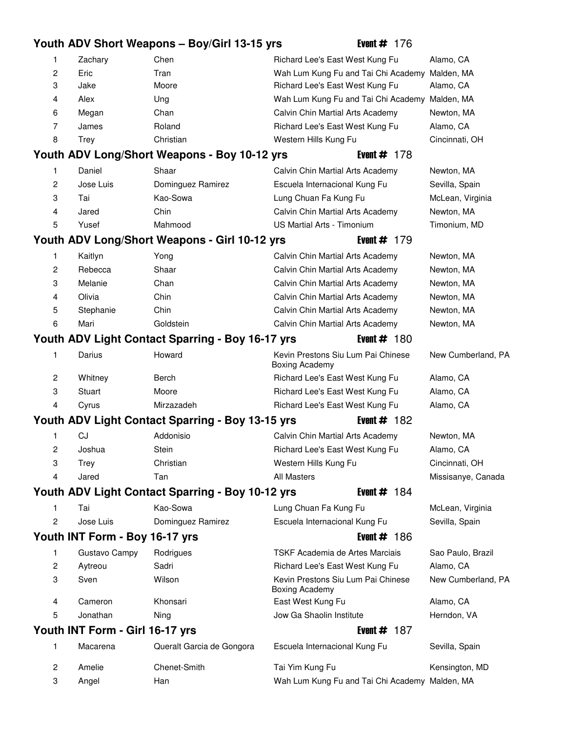# **Youth ADV Short Weapons – Boy/Girl 13-15 yrs Event # 176** 1 Zachary Chen 19 Chen 19 Richard Lee's East West Kung Fu Alamo, CA 2 Eric Tran 70 Tran 70 Wah Lum Kung Fu and Tai Chi Academy Malden, MA 3 Jake 51 Moore 51 Moore 51 Moore 51 Moore 51 Richard Lee's East West Kung Fu Alamo, CA 4 Alex Ung 71 Ung 71 Wah Lum Kung Fu and Tai Chi Academy Malden, MA 6 Megan 14 Chan 14 Chan 14 Calvin Chin Martial Arts Academy Newton, MA 7 James **11 Roland 11 Richard Lee's East West Kung Fu** Alamo, CA 8 Trey Christian 65 Western Hills Kung Fu Cincinnati, OH **Youth ADV Long/Short Weapons - Boy 10-12 yrs Event # 178** 1 Daniel Shaar 13 Calvin Chin Martial Arts Academy Newton, MA 2 Jose Luis Dominguez Ramirez **79 Escuela Internacional Kung Fu** Sevilla, Spain 3 Tai 65 Kao-Sowa 65 Lung Chuan Fa Kung Fu McLean, Virginia 4 Jared Chin 18 Chin 18 Calvin Chin Martial Arts Academy Newton, MA 5 Yusef Mahmood 19 US Martial Arts - Timonium Timonium, MD **Youth ADV Long/Short Weapons - Girl 10-12 yrs Figure 4th Event # 179** 1 Kaitlyn Yong 25 Calvin Chin Martial Arts Academy Newton, MA 2 Rebecca Shaar 13 Calvin Chin Martial Arts Academy Newton, MA 3 Melanie Chan 14 Calvin Chin Martial Arts Academy Newton, MA 4 Olivia Chin 18 Chin 18 Calvin Chin Martial Arts Academy Newton, MA 5 Stephanie 18 Chin 18 Chin 18 Calvin Chin Martial Arts Academy 18 Newton, MA 6 Mari Goldstein 27 Calvin Chin Martial Arts Academy Newton, MA **Youth ADV Light Contact Sparring - Boy 16-17 yrs Event # 180** 1 Darius Howard 1 Kevin Prestons Siu Lum Pai Chinese New Cumberland, PA Boxing Academy 2 Whitney Berch 57 Berch 57 Richard Lee's East West Kung Fu Alamo, CA 3 Stuart Moore 51 Richard Lee's East West Kung Fu Alamo, CA 4 Cyrus Mirzazadeh 13 Richard Lee's East West Kung Fu Alamo, CA **Youth ADV Light Contact Sparring - Boy 13-15 yrs Firm Figure # 182** 1 CJ Addonisio 17 Calvin Chin Martial Arts Academy Newton, MA 2 Joshua Stein 43 Richard Lee's East West Kung Fu Alamo, CA 3 Trey Christian 65 Western Hills Kung Fu Cincinnati, OH 4 Jared Tan 19 All Masters 20 Accounts And Missisanye, Canada **Youth ADV Light Contact Sparring - Boy 10-12 yrs Event # 184** 1 Tai Kao-Sowa 65 Lung Chuan Fa Kung Fu McLean, Virginia 2 Jose Luis Dominguez Ramirez **79 Escuela Internacional Kung Fu** Sevilla, Spain **Youth INT Form - Boy 16-17 yrs Event # 186** 1 Gustavo Campy Rodrigues 19 TSKF Academia de Artes Marciais Sao Paulo, Brazil 2 Aytreou **Sadri** 11 **Richard Lee's East West Kung Fu** Alamo, CA 3 Sven Wilson 20 Kevin Prestons Siu Lum Pai Chinese New Cumberland, PA Boxing Academy 4 Cameron Khonsari 19 East West Kung Fu Alamo, CA 5 Jonathan 19 Ning 19 Jow Ga Shaolin Institute 19 Herndon, VA **Youth INT Form - Girl 16-17 yrs Event # 187 Form Arrow Figure # 187 Form Arrow Figure 4 The Event # 187 Form A** 1 Macarena **Queralt Garcia de Gongora** Escuela Internacional Kung Fu Sevilla, Spain 2 Amelie Chenet-Smith 19 Tai Yim Kung Fu 19 Tai Yim Kensington, MD 3 Angel Han 16 Han 16 Wah Lum Kung Fu and Tai Chi Academy Malden, MA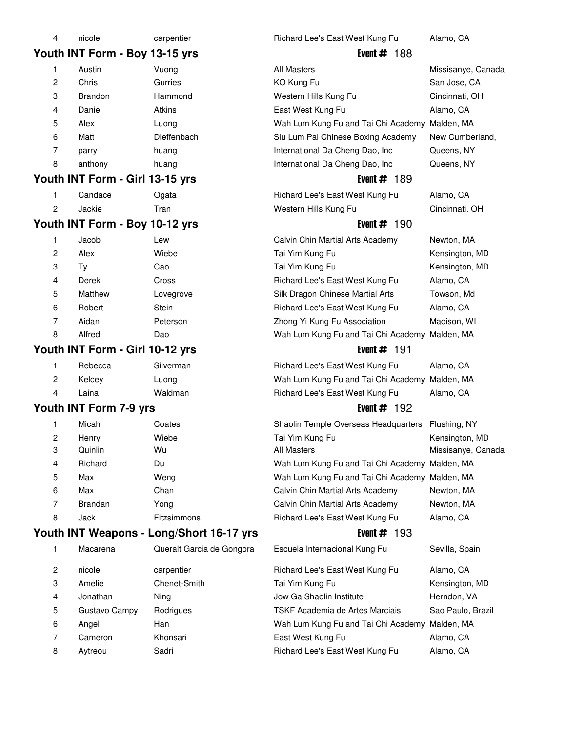| 4              | nicole                          | carpentier                               | Richard Lee's East West Kung Fu                   | Alamo, CA          |
|----------------|---------------------------------|------------------------------------------|---------------------------------------------------|--------------------|
|                | Youth INT Form - Boy 13-15 yrs  |                                          | Event $\#$ 188                                    |                    |
| 1              | Austin                          | Vuong                                    | <b>All Masters</b>                                | Missisanye, Canada |
| 2              | Chris                           | Gurries                                  | KO Kung Fu                                        | San Jose, CA       |
| 3              | <b>Brandon</b>                  | Hammond                                  | Western Hills Kung Fu                             | Cincinnati, OH     |
| 4              | Daniel                          | <b>Atkins</b>                            | East West Kung Fu                                 | Alamo, CA          |
| 5              | Alex                            | Luong                                    | Wah Lum Kung Fu and Tai Chi Academy Malden, MA    |                    |
| 6              | Matt                            | Dieffenbach                              | Siu Lum Pai Chinese Boxing Academy                | New Cumberland,    |
| 7              | parry                           | huang                                    | International Da Cheng Dao, Inc                   | Queens, NY         |
| 8              | anthony                         | huang                                    | International Da Cheng Dao, Inc                   | Queens, NY         |
|                | Youth INT Form - Girl 13-15 yrs |                                          | Event $# 189$                                     |                    |
| 1              | Candace                         | Ogata                                    | Richard Lee's East West Kung Fu                   | Alamo, CA          |
| 2              | Jackie                          | Tran                                     | Western Hills Kung Fu                             | Cincinnati, OH     |
|                | Youth INT Form - Boy 10-12 yrs  |                                          | Event $# 190$                                     |                    |
| 1              | Jacob                           | Lew                                      | Calvin Chin Martial Arts Academy                  | Newton, MA         |
| $\overline{c}$ | Alex                            | Wiebe                                    | Tai Yim Kung Fu                                   | Kensington, MD     |
| 3              | Ty                              | Cao                                      | Tai Yim Kung Fu                                   | Kensington, MD     |
| 4              | Derek                           | Cross                                    | Richard Lee's East West Kung Fu                   | Alamo, CA          |
| 5              | Matthew                         | Lovegrove                                | Silk Dragon Chinese Martial Arts                  | Towson, Md         |
| 6              | Robert                          | Stein                                    | Richard Lee's East West Kung Fu                   | Alamo, CA          |
| 7              | Aidan                           | Peterson                                 | Zhong Yi Kung Fu Association                      | Madison, WI        |
| 8              | Alfred                          | Dao                                      | Wah Lum Kung Fu and Tai Chi Academy Malden, MA    |                    |
|                | Youth INT Form - Girl 10-12 yrs |                                          | Event $#$ 191                                     |                    |
| 1              | Rebecca                         | Silverman                                | Richard Lee's East West Kung Fu                   | Alamo, CA          |
| 2              | Kelcey                          | Luong                                    | Wah Lum Kung Fu and Tai Chi Academy Malden, MA    |                    |
| 4              | Laina                           | Waldman                                  | Richard Lee's East West Kung Fu                   | Alamo, CA          |
|                | Youth INT Form 7-9 yrs          |                                          | Event $# 192$                                     |                    |
| 1              | Micah                           | Coates                                   | Shaolin Temple Overseas Headquarters Flushing, NY |                    |
| 2              |                                 |                                          |                                                   |                    |
|                | Henry                           | Wiebe                                    | Tai Yim Kung Fu                                   | Kensington, MD     |
| 3              | Quinlin                         | Wu                                       | All Masters                                       | Missisanye, Canada |
| 4              | Richard                         | Du                                       | Wah Lum Kung Fu and Tai Chi Academy Malden, MA    |                    |
| 5              | Max                             | Weng                                     | Wah Lum Kung Fu and Tai Chi Academy Malden, MA    |                    |
| 6              | Max                             | Chan                                     | Calvin Chin Martial Arts Academy                  | Newton, MA         |
| 7              | <b>Brandan</b>                  | Yong                                     | Calvin Chin Martial Arts Academy                  | Newton, MA         |
| 8              | Jack                            | Fitzsimmons                              | Richard Lee's East West Kung Fu                   | Alamo, CA          |
|                |                                 | Youth INT Weapons - Long/Short 16-17 yrs | Event $\#$ 193                                    |                    |
| 1              | Macarena                        | Queralt Garcia de Gongora                | Escuela Internacional Kung Fu                     | Sevilla, Spain     |
| 2              | nicole                          | carpentier                               | Richard Lee's East West Kung Fu                   | Alamo, CA          |
| 3              | Amelie                          | Chenet-Smith                             | Tai Yim Kung Fu                                   | Kensington, MD     |
| 4              | Jonathan                        | Ning                                     | Jow Ga Shaolin Institute                          | Herndon, VA        |
| 5              | Gustavo Campy                   | Rodrigues                                | TSKF Academia de Artes Marciais                   | Sao Paulo, Brazil  |
| 6              | Angel                           | Han                                      | Wah Lum Kung Fu and Tai Chi Academy Malden, MA    |                    |
| 7              | Cameron                         | Khonsari                                 | East West Kung Fu                                 | Alamo, CA          |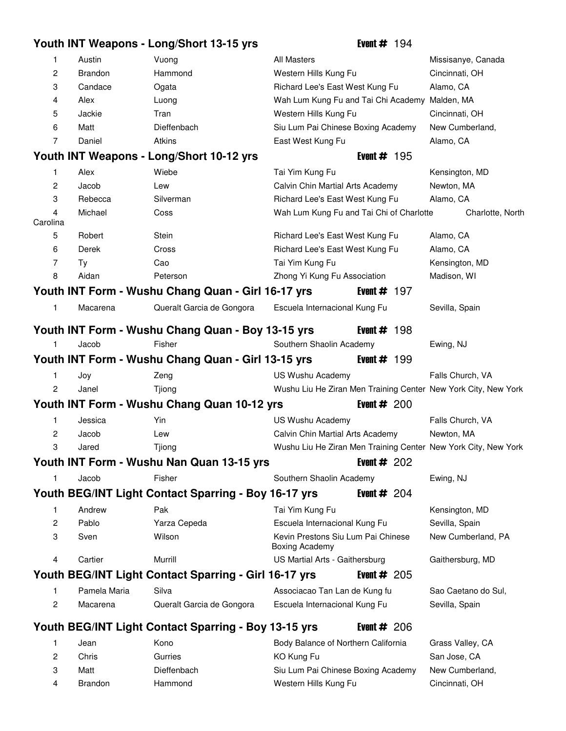|                |                | Youth INT Weapons - Long/Short 13-15 yrs              | Event $# 194$                                                  |                     |
|----------------|----------------|-------------------------------------------------------|----------------------------------------------------------------|---------------------|
| 1              | Austin         | Vuong                                                 | All Masters                                                    | Missisanye, Canada  |
| $\overline{c}$ | <b>Brandon</b> | Hammond                                               | Western Hills Kung Fu                                          | Cincinnati, OH      |
| 3              | Candace        | Ogata                                                 | Richard Lee's East West Kung Fu                                | Alamo, CA           |
| 4              | Alex           | Luong                                                 | Wah Lum Kung Fu and Tai Chi Academy Malden, MA                 |                     |
| 5              | Jackie         | Tran                                                  | Western Hills Kung Fu                                          | Cincinnati, OH      |
| 6              | Matt           | Dieffenbach                                           | Siu Lum Pai Chinese Boxing Academy                             | New Cumberland,     |
| 7              | Daniel         | Atkins                                                | East West Kung Fu                                              | Alamo, CA           |
|                |                | Youth INT Weapons - Long/Short 10-12 yrs              | Event $\#$ 195                                                 |                     |
| 1              | Alex           | Wiebe                                                 | Tai Yim Kung Fu                                                | Kensington, MD      |
| 2              | Jacob          | Lew                                                   | Calvin Chin Martial Arts Academy                               | Newton, MA          |
| 3              | Rebecca        | Silverman                                             | Richard Lee's East West Kung Fu                                | Alamo, CA           |
| 4<br>Carolina  | Michael        | Coss                                                  | Wah Lum Kung Fu and Tai Chi of Charlotte                       | Charlotte, North    |
| 5              | Robert         | Stein                                                 | Richard Lee's East West Kung Fu                                | Alamo, CA           |
| 6              | Derek          | Cross                                                 | Richard Lee's East West Kung Fu                                | Alamo, CA           |
| 7              | Ty             | Cao                                                   | Tai Yim Kung Fu                                                | Kensington, MD      |
| 8              | Aidan          | Peterson                                              | Zhong Yi Kung Fu Association                                   | Madison, WI         |
|                |                | Youth INT Form - Wushu Chang Quan - Girl 16-17 yrs    | Event $# 197$                                                  |                     |
| 1              | Macarena       | Queralt Garcia de Gongora                             | Escuela Internacional Kung Fu                                  | Sevilla, Spain      |
|                |                | Youth INT Form - Wushu Chang Quan - Boy 13-15 yrs     | Event $\#$ 198                                                 |                     |
| 1              | Jacob          | Fisher                                                | Southern Shaolin Academy                                       | Ewing, NJ           |
|                |                | Youth INT Form - Wushu Chang Quan - Girl 13-15 yrs    | Event $# 199$                                                  |                     |
| 1              | Joy            | Zeng                                                  | US Wushu Academy                                               | Falls Church, VA    |
| 2              | Janel          | Tjiong                                                | Wushu Liu He Ziran Men Training Center New York City, New York |                     |
|                |                | Youth INT Form - Wushu Chang Quan 10-12 yrs           | Event $# 200$                                                  |                     |
| 1              | Jessica        | Yin                                                   | US Wushu Academy                                               | Falls Church, VA    |
| 2              | Jacob          | Lew                                                   | Calvin Chin Martial Arts Academy                               | Newton, MA          |
| 3              | Jared          | Tjiong                                                | Wushu Liu He Ziran Men Training Center New York City, New York |                     |
|                |                | Youth INT Form - Wushu Nan Quan 13-15 yrs             | Event $# 202$                                                  |                     |
| 1              | Jacob          | Fisher                                                | Southern Shaolin Academy                                       | Ewing, NJ           |
|                |                | Youth BEG/INT Light Contact Sparring - Boy 16-17 yrs  | Event $# 204$                                                  |                     |
| 1              | Andrew         | Pak                                                   | Tai Yim Kung Fu                                                | Kensington, MD      |
| 2              | Pablo          | Yarza Cepeda                                          | Escuela Internacional Kung Fu                                  | Sevilla, Spain      |
| 3              | Sven           | Wilson                                                | Kevin Prestons Siu Lum Pai Chinese<br><b>Boxing Academy</b>    | New Cumberland, PA  |
| 4              | Cartier        | Murrill                                               | US Martial Arts - Gaithersburg                                 | Gaithersburg, MD    |
|                |                | Youth BEG/INT Light Contact Sparring - Girl 16-17 yrs | Event # $205$                                                  |                     |
| 1              | Pamela Maria   | Silva                                                 | Associacao Tan Lan de Kung fu                                  | Sao Caetano do Sul, |
| 2              | Macarena       | Queralt Garcia de Gongora                             | Escuela Internacional Kung Fu                                  | Sevilla, Spain      |
|                |                | Youth BEG/INT Light Contact Sparring - Boy 13-15 yrs  | Event $\#$ 206                                                 |                     |
| 1              | Jean           | Kono                                                  | Body Balance of Northern California                            | Grass Valley, CA    |
| 2              | Chris          | Gurries                                               | KO Kung Fu                                                     | San Jose, CA        |
| 3              | Matt           | Dieffenbach                                           | Siu Lum Pai Chinese Boxing Academy                             | New Cumberland,     |

4 Brandon Hammond 11 Western Hills Kung Fu Cincinnati, OH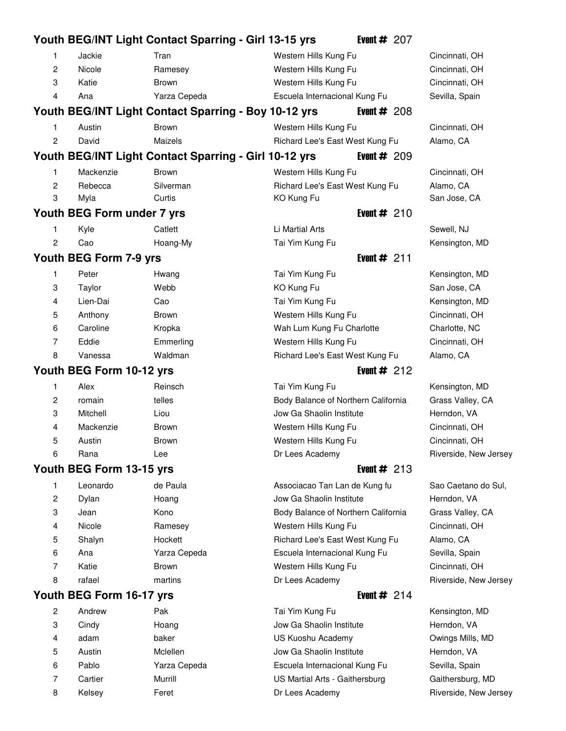|                |                            | Youth BEG/INT Light Contact Sparring - Girl 13-15 yrs | Event $# 207$                       |                       |
|----------------|----------------------------|-------------------------------------------------------|-------------------------------------|-----------------------|
| 1.             | Jackie                     | Tran                                                  | Western Hills Kung Fu               | Cincinnati, OH        |
| $\overline{c}$ | Nicole                     | Ramesey                                               | Western Hills Kung Fu               | Cincinnati, OH        |
| 3              | Katie                      | Brown                                                 | Western Hills Kung Fu               | Cincinnati, OH        |
| 4              | Ana                        | Yarza Cepeda                                          | Escuela Internacional Kung Fu       | Sevilla, Spain        |
|                |                            | Youth BEG/INT Light Contact Sparring - Boy 10-12 yrs  | Event $\#$ 208                      |                       |
| 1.             | Austin                     | <b>Brown</b>                                          | Western Hills Kung Fu               | Cincinnati, OH        |
| 2              | David                      | Maizels                                               | Richard Lee's East West Kung Fu     | Alamo, CA             |
|                |                            | Youth BEG/INT Light Contact Sparring - Girl 10-12 yrs | Event $# 209$                       |                       |
| 1.             | Mackenzie                  | <b>Brown</b>                                          | Western Hills Kung Fu               | Cincinnati, OH        |
| 2              | Rebecca                    | Silverman                                             | Richard Lee's East West Kung Fu     | Alamo, CA             |
| 3              | Myla                       | Curtis                                                | KO Kung Fu                          | San Jose, CA          |
|                | Youth BEG Form under 7 yrs |                                                       | Event $# 210$                       |                       |
| 1              | Kyle                       | Catlett                                               | Li Martial Arts                     | Sewell, NJ            |
| $\overline{c}$ | Cao                        | Hoang-My                                              | Tai Yim Kung Fu                     | Kensington, MD        |
|                | Youth BEG Form 7-9 yrs     |                                                       | Event $# 211$                       |                       |
| 1.             | Peter                      | Hwang                                                 | Tai Yim Kung Fu                     | Kensington, MD        |
| 3              | Taylor                     | Webb                                                  | KO Kung Fu                          | San Jose, CA          |
| 4              | Lien-Dai                   | Cao                                                   | Tai Yim Kung Fu                     | Kensington, MD        |
| 5              | Anthony                    | Brown                                                 | Western Hills Kung Fu               | Cincinnati, OH        |
| 6              | Caroline                   | Kropka                                                | Wah Lum Kung Fu Charlotte           | Charlotte, NC         |
| 7              | Eddie                      | Emmerling                                             | Western Hills Kung Fu               | Cincinnati, OH        |
| 8              | Vanessa                    | Waldman                                               | Richard Lee's East West Kung Fu     | Alamo, CA             |
|                | Youth BEG Form 10-12 yrs   |                                                       | Event $#212$                        |                       |
| 1              | Alex                       | Reinsch                                               | Tai Yim Kung Fu                     | Kensington, MD        |
| 2              | romain                     | telles                                                | Body Balance of Northern California | Grass Valley, CA      |
| 3              | Mitchell                   | Liou                                                  | Jow Ga Shaolin Institute            | Herndon, VA           |
| 4              | Mackenzie                  | <b>Brown</b>                                          | Western Hills Kung Fu               | Cincinnati, OH        |
| 5              | Austin                     | <b>Brown</b>                                          | Western Hills Kung Fu               | Cincinnati, OH        |
| 6              | Rana                       | Lee                                                   | Dr Lees Academy                     | Riverside, New Jersey |
|                | Youth BEG Form 13-15 yrs   |                                                       | Event $#213$                        |                       |
| 1              | Leonardo                   | de Paula                                              | Associacao Tan Lan de Kung fu       | Sao Caetano do Sul,   |
| 2              | Dylan                      | Hoang                                                 | Jow Ga Shaolin Institute            | Herndon, VA           |
| 3              | Jean                       | Kono                                                  | Body Balance of Northern California | Grass Valley, CA      |
| 4              | Nicole                     | Ramesey                                               | Western Hills Kung Fu               | Cincinnati, OH        |
| 5              | Shalyn                     | Hockett                                               | Richard Lee's East West Kung Fu     | Alamo, CA             |
| 6              | Ana                        | Yarza Cepeda                                          | Escuela Internacional Kung Fu       | Sevilla, Spain        |
| 7              | Katie                      | <b>Brown</b>                                          | Western Hills Kung Fu               | Cincinnati, OH        |
| 8              | rafael                     | martins                                               | Dr Lees Academy                     | Riverside, New Jersey |
|                | Youth BEG Form 16-17 yrs   |                                                       | Event $# 214$                       |                       |
| 2              | Andrew                     | Pak                                                   | Tai Yim Kung Fu                     | Kensington, MD        |
| 3              | Cindy                      | Hoang                                                 | Jow Ga Shaolin Institute            | Herndon, VA           |
| 4              | adam                       | baker                                                 | US Kuoshu Academy                   | Owings Mills, MD      |
| 5              | Austin                     | Mclellen                                              | Jow Ga Shaolin Institute            | Herndon, VA           |
| 6              | Pablo                      | Yarza Cepeda                                          | Escuela Internacional Kung Fu       | Sevilla, Spain        |

7 Cartier **Murrill 19 Constructs Constructs** US Martial Arts - Gaithersburg Gaithersburg, MD 8 Kelsey Feret Feret Dr Lees Academy Communication Riverside, New Jersey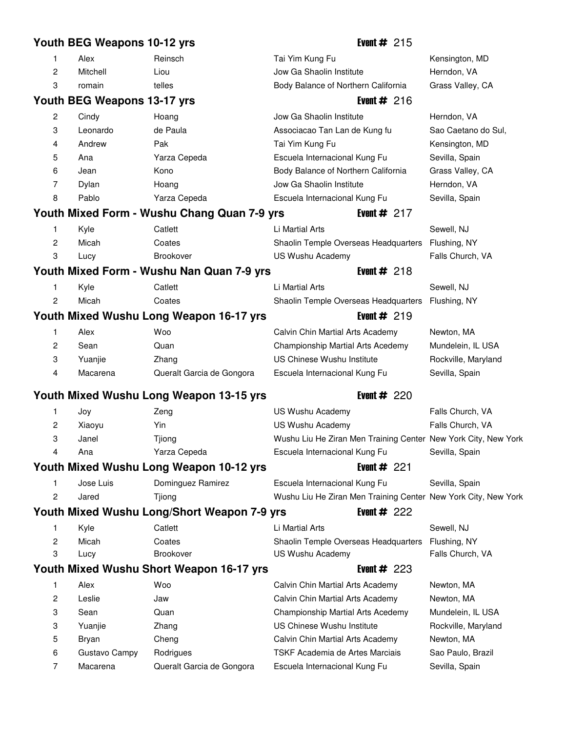# **Youth BEG Weapons 10-12 yrs** Event # 215 1 Alex **Reinsch 19 Tai Yim Kung Fu** Chensington, MD 2 Mitchell Liou 18 Liou 18 Jow Ga Shaolin Institute Herndon, VA 3 romain 16 telles 16 Body Balance of Northern California Grass Valley, CA **Youth BEG Weapons 13-17 yrs** Event # 216 2 Cindy Hoang 20 Jow Ga Shaolin Institute Herndon, VA 3 Leonardo de Paula 15 Associacao Tan Lan de Kung fu Sao Caetano do Sul, 4 Andrew Pak 19 Tai Yim Kung Fu 19 Tai Yim Kung Fu Kensington, MD 5 Ana 13 Yarza Cepeda 13 Escuela Internacional Kung Fu Sevilla, Spain 6 Jean 18 Kono 18 Body Balance of Northern California Grass Valley, CA 7 Dylan Hoang 19 Jow Ga Shaolin Institute Herndon, VA 8 Pablo Yarza Cepeda 16 Escuela Internacional Kung Fu Sevilla, Spain **Youth Mixed Form - Wushu Chang Quan 7-9 yrs Event # 217** 1 Kyle Catlett 17 Li Martial Arts 17 Li Martial Arts Sewell, NJ 2 Micah Coates 20 Coates 20 Shaolin Temple Overseas Headquarters Flushing, NY 3 Lucy Brookover US Wushu Academy Falls Church, VA **Youth Mixed Form - Wushu Nan Quan 7-9 yrs Figure 4 Figure 4 Figure 4 Assembly** 1 Kyle Catlett 17 Li Martial Arts 17 Li Martial Arts Sewell, NJ 2 Micah Coates 20 Coates 20 Shaolin Temple Overseas Headquarters Flushing, NY **Youth Mixed Wushu Long Weapon 16-17 yrs Firm Firm Firm Firm 1980 Wealth Arms Firm Arms Firm Arms Arms Firm Arms** 1 Alex Woo 56 Calvin Chin Martial Arts Academy Newton, MA 2 Sean 2014 Quan 18 Championship Martial Arts Acedemy Mundelein, IL USA 3 Yuanjie 2hang 15 US Chinese Wushu Institute Rockville, Maryland 4 Macarena **Queralt Garcia de Gongora** Escuela Internacional Kung Fu Sevilla, Spain **Youth Mixed Wushu Long Weapon 13-15 yrs Figure 4th Event # 220** 1 Joy 2eng 2 US Wushu Academy Falls Church, VA 2 Xiaoyu Yin 19 Yushu Academy Talls Church, VA 3 Janel Tjiong 19 Wushu Liu He Ziran Men Training Center New York City, New York 4 Ana 13 Yarza Cepeda 13 Escuela Internacional Kung Fu Sevilla, Spain **Youth Mixed Wushu Long Weapon 10-12 yrs Event # 221** 1 Jose Luis Dominguez Ramirez **79 Escuela Internacional Kung Fu** Sevilla, Spain 2 Jared Tjiong 19 Times 20 Wushu Liu He Ziran Men Training Center New York City, New York **Youth Mixed Wushu Long/Short Weapon 7-9 yrs Event # 222** 1 Kyle Catlett 17 Li Martial Arts 17 Sewell, NJ 2 Micah Coates 20 Coates 20 Shaolin Temple Overseas Headquarters Flushing, NY 3 Lucy Brookover US Wushu Academy Falls Church, VA **Youth Mixed Wushu Short Weapon 16-17 yrs Event # 223** 1 Alex Woo 66 Calvin Chin Martial Arts Academy Newton, MA 2 Leslie **31 Jaw 61 Calvin Chin Martial Arts Academy** Newton, MA 3 Sean 2014 Quan 18 Championship Martial Arts Acedemy Mundelein, IL USA 3 Yuanjie 2hang 15 US Chinese Wushu Institute Rockville, Maryland 5 Bryan Cheng 13 Cheng 13 Calvin Chin Martial Arts Academy Newton, MA 6 Gustavo Campy Rodrigues 19 TSKF Academia de Artes Marciais Sao Paulo, Brazil 7 Macarena Queralt Garcia de Gongora Escuela Internacional Kung Fu Sevilla, Spain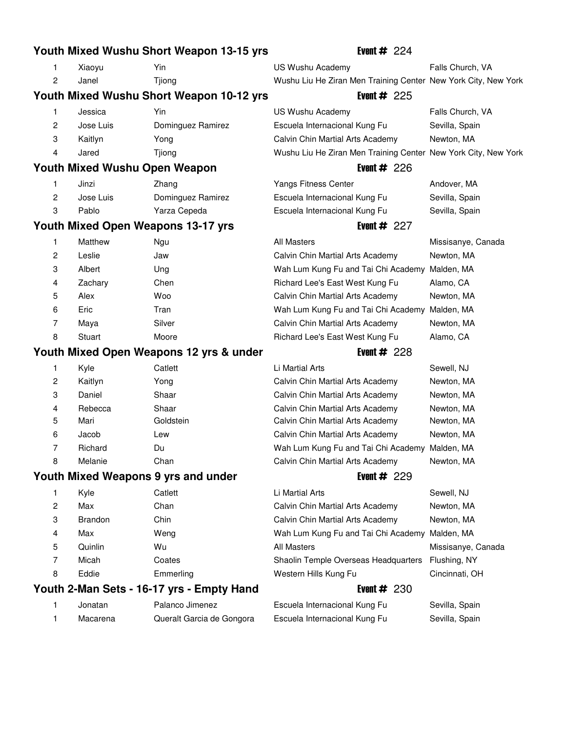|    |                                      | Youth Mixed Wushu Short Weapon 13-15 yrs  | Event $\#$ 224                                                 |                    |
|----|--------------------------------------|-------------------------------------------|----------------------------------------------------------------|--------------------|
| 1. | Xiaoyu                               | Yin                                       | US Wushu Academy                                               | Falls Church, VA   |
| 2  | Janel                                | Tjiong                                    | Wushu Liu He Ziran Men Training Center New York City, New York |                    |
|    |                                      | Youth Mixed Wushu Short Weapon 10-12 yrs  | Event $\#$ 225                                                 |                    |
| 1. | Jessica                              | Yin                                       | US Wushu Academy                                               | Falls Church, VA   |
| 2  | Jose Luis                            | Dominguez Ramirez                         | Escuela Internacional Kung Fu                                  | Sevilla, Spain     |
| 3  | Kaitlyn                              | Yong                                      | Calvin Chin Martial Arts Academy                               | Newton, MA         |
| 4  | Jared                                | Tjiong                                    | Wushu Liu He Ziran Men Training Center New York City, New York |                    |
|    | <b>Youth Mixed Wushu Open Weapon</b> |                                           | Event $\#$ 226                                                 |                    |
| 1  | Jinzi                                | Zhang                                     | Yangs Fitness Center                                           | Andover, MA        |
| 2  | Jose Luis                            | Dominguez Ramirez                         | Escuela Internacional Kung Fu                                  | Sevilla, Spain     |
| 3  | Pablo                                | Yarza Cepeda                              | Escuela Internacional Kung Fu                                  | Sevilla, Spain     |
|    |                                      | <b>Youth Mixed Open Weapons 13-17 yrs</b> | Event $# 227$                                                  |                    |
| 1  | Matthew                              | Ngu                                       | All Masters                                                    | Missisanye, Canada |
| 2  | Leslie                               | Jaw                                       | Calvin Chin Martial Arts Academy                               | Newton, MA         |
| 3  | Albert                               | Ung                                       | Wah Lum Kung Fu and Tai Chi Academy                            | Malden, MA         |
| 4  | Zachary                              | Chen                                      | Richard Lee's East West Kung Fu                                | Alamo, CA          |
| 5  | Alex                                 | Woo                                       | Calvin Chin Martial Arts Academy                               | Newton, MA         |
| 6  | Eric                                 | Tran                                      | Wah Lum Kung Fu and Tai Chi Academy Malden, MA                 |                    |
| 7  | Maya                                 | Silver                                    | Calvin Chin Martial Arts Academy                               | Newton, MA         |
| 8  | Stuart                               | Moore                                     | Richard Lee's East West Kung Fu                                | Alamo, CA          |
|    |                                      |                                           |                                                                |                    |
|    |                                      | Youth Mixed Open Weapons 12 yrs & under   | Event $\#$ 228                                                 |                    |
| 1  | Kyle                                 | Catlett                                   | Li Martial Arts                                                | Sewell, NJ         |
| 2  | Kaitlyn                              | Yong                                      | Calvin Chin Martial Arts Academy                               | Newton, MA         |
| 3  | Daniel                               | Shaar                                     | Calvin Chin Martial Arts Academy                               | Newton, MA         |
| 4  | Rebecca                              | Shaar                                     | Calvin Chin Martial Arts Academy                               | Newton, MA         |
| 5  | Mari                                 | Goldstein                                 | Calvin Chin Martial Arts Academy                               | Newton, MA         |
| 6  | Jacob                                | Lew                                       | Calvin Chin Martial Arts Academy                               | Newton, MA         |
| 7  | Richard                              | Du                                        | Wah Lum Kung Fu and Tai Chi Academy Malden, MA                 |                    |
| 8  | Melanie                              | Chan                                      | Calvin Chin Martial Arts Academy                               | Newton, MA         |
|    |                                      | Youth Mixed Weapons 9 yrs and under       | Event $#229$                                                   |                    |
| 1  | Kyle                                 | Catlett                                   | Li Martial Arts                                                | Sewell, NJ         |
| 2  | Max                                  | Chan                                      | Calvin Chin Martial Arts Academy                               | Newton, MA         |
| 3  | <b>Brandon</b>                       | Chin                                      | Calvin Chin Martial Arts Academy                               | Newton, MA         |
| 4  | Max                                  | Weng                                      | Wah Lum Kung Fu and Tai Chi Academy Malden, MA                 |                    |
| 5  | Quinlin                              | Wu                                        | All Masters                                                    | Missisanye, Canada |
| 7  | Micah                                | Coates                                    | Shaolin Temple Overseas Headquarters                           | Flushing, NY       |
| 8  | Eddie                                | Emmerling                                 | Western Hills Kung Fu                                          | Cincinnati, OH     |
|    |                                      | Youth 2-Man Sets - 16-17 yrs - Empty Hand | Event $\#$ 230                                                 |                    |
| 1  | Jonatan                              | Palanco Jimenez                           | Escuela Internacional Kung Fu                                  | Sevilla, Spain     |
| 1  | Macarena                             | Queralt Garcia de Gongora                 | Escuela Internacional Kung Fu                                  | Sevilla, Spain     |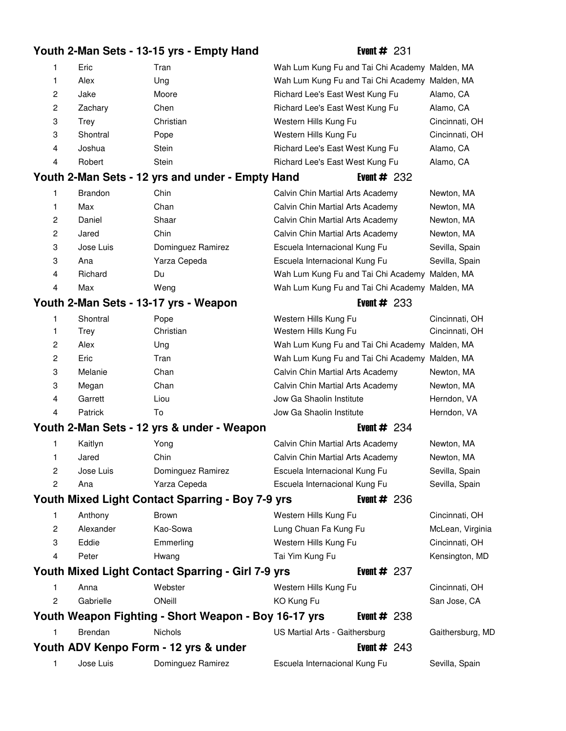# **Youth 2-Man Sets - 13-15 yrs - Empty Hand** Event # 231

| 1              | Eric      | Tran                                                 | Wah Lum Kung Fu and Tai Chi Academy Malden, MA |                |                  |
|----------------|-----------|------------------------------------------------------|------------------------------------------------|----------------|------------------|
| 1              | Alex      | Ung                                                  | Wah Lum Kung Fu and Tai Chi Academy Malden, MA |                |                  |
| $\overline{c}$ | Jake      | Moore                                                | Richard Lee's East West Kung Fu                |                | Alamo, CA        |
| $\overline{c}$ | Zachary   | Chen                                                 | Richard Lee's East West Kung Fu                |                | Alamo, CA        |
| 3              | Trey      | Christian                                            | Western Hills Kung Fu                          |                | Cincinnati, OH   |
| 3              | Shontral  | Pope                                                 | Western Hills Kung Fu                          |                | Cincinnati, OH   |
| 4              | Joshua    | Stein                                                | Richard Lee's East West Kung Fu                |                | Alamo, CA        |
| 4              | Robert    | Stein                                                | Richard Lee's East West Kung Fu                |                | Alamo, CA        |
|                |           | Youth 2-Man Sets - 12 yrs and under - Empty Hand     |                                                | Event $#232$   |                  |
| 1.             | Brandon   | Chin                                                 | Calvin Chin Martial Arts Academy               |                | Newton, MA       |
| 1              | Max       | Chan                                                 | Calvin Chin Martial Arts Academy               |                | Newton, MA       |
| $\overline{c}$ | Daniel    | Shaar                                                | Calvin Chin Martial Arts Academy               |                | Newton, MA       |
| 2              | Jared     | Chin                                                 | Calvin Chin Martial Arts Academy               |                | Newton, MA       |
| 3              | Jose Luis | Dominguez Ramirez                                    | Escuela Internacional Kung Fu                  |                | Sevilla, Spain   |
| 3              | Ana       | Yarza Cepeda                                         | Escuela Internacional Kung Fu                  |                | Sevilla, Spain   |
| 4              | Richard   | Du                                                   | Wah Lum Kung Fu and Tai Chi Academy Malden, MA |                |                  |
| 4              | Max       | Weng                                                 | Wah Lum Kung Fu and Tai Chi Academy Malden, MA |                |                  |
|                |           | Youth 2-Man Sets - 13-17 yrs - Weapon                |                                                | Event $#233$   |                  |
| 1              | Shontral  | Pope                                                 | Western Hills Kung Fu                          |                | Cincinnati, OH   |
| 1              | Trey      | Christian                                            | Western Hills Kung Fu                          |                | Cincinnati, OH   |
| 2              | Alex      | Ung                                                  | Wah Lum Kung Fu and Tai Chi Academy Malden, MA |                |                  |
| 2              | Eric      | Tran                                                 | Wah Lum Kung Fu and Tai Chi Academy Malden, MA |                |                  |
| 3              | Melanie   | Chan                                                 | Calvin Chin Martial Arts Academy               |                | Newton, MA       |
| 3              | Megan     | Chan                                                 | Calvin Chin Martial Arts Academy               |                | Newton, MA       |
| 4              | Garrett   | Liou                                                 | Jow Ga Shaolin Institute                       |                | Herndon, VA      |
| 4              | Patrick   | To                                                   | Jow Ga Shaolin Institute                       |                | Herndon, VA      |
|                |           | Youth 2-Man Sets - 12 yrs & under - Weapon           |                                                | Event $#234$   |                  |
| 1              | Kaitlyn   | Yong                                                 | Calvin Chin Martial Arts Academy               |                | Newton, MA       |
| 1              | Jared     | Chin                                                 | Calvin Chin Martial Arts Academy               |                | Newton, MA       |
| 2              | Jose Luis | Dominguez Ramirez                                    | Escuela Internacional Kung Fu                  |                | Sevilla, Spain   |
| 2              | Ana       | Yarza Cepeda                                         | Escuela Internacional Kung Fu                  |                | Sevilla, Spain   |
|                |           | Youth Mixed Light Contact Sparring - Boy 7-9 yrs     |                                                | Event $#236$   |                  |
| 1              | Anthony   | <b>Brown</b>                                         | Western Hills Kung Fu                          |                | Cincinnati, OH   |
| $\overline{2}$ | Alexander | Kao-Sowa                                             | Lung Chuan Fa Kung Fu                          |                | McLean, Virginia |
| 3              | Eddie     | Emmerling                                            | Western Hills Kung Fu                          |                | Cincinnati, OH   |
| 4              | Peter     | Hwang                                                | Tai Yim Kung Fu                                |                | Kensington, MD   |
|                |           | Youth Mixed Light Contact Sparring - Girl 7-9 yrs    |                                                | Event $#237$   |                  |
| 1              | Anna      | Webster                                              | Western Hills Kung Fu                          |                | Cincinnati, OH   |
| 2              | Gabrielle | ONeill                                               | KO Kung Fu                                     |                | San Jose, CA     |
|                |           | Youth Weapon Fighting - Short Weapon - Boy 16-17 yrs |                                                | Event $\#$ 238 |                  |
| 1              | Brendan   | Nichols                                              | US Martial Arts - Gaithersburg                 |                | Gaithersburg, MD |
|                |           | Youth ADV Kenpo Form - 12 yrs & under                |                                                | Event $#243$   |                  |
| 1              | Jose Luis | Dominguez Ramirez                                    | Escuela Internacional Kung Fu                  |                |                  |
|                |           |                                                      |                                                |                | Sevilla, Spain   |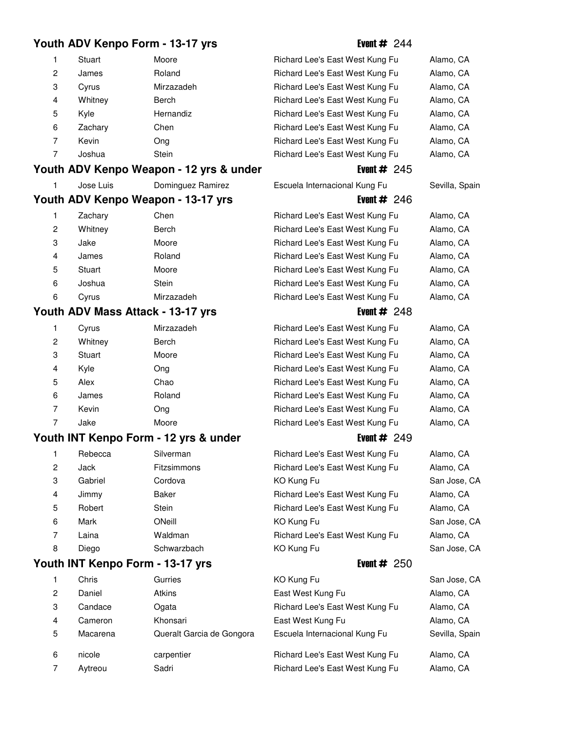# Youth ADV Kenpo Form - 13-17 yrs<br>
Event # 244

| 1 | Stuart  | Moore      |
|---|---------|------------|
| 2 | James   | Roland     |
| 3 | Cyrus   | Mirzazadeh |
| 4 | Whitney | Berch      |
| 5 | Kyle    | Hernandiz  |
| 6 | Zachary | Chen       |
| 7 | Kevin   | Ong        |
|   | Joshua  | Stein      |

## Youth ADV Kenpo Weapon - 12 yrs & under

| Jose Luis | Dominguez Ramirez                  | Escuela Internacional Kung Fu | Sevilla, Spain |
|-----------|------------------------------------|-------------------------------|----------------|
|           | Youth ADV Kenpo Weapon - 13-17 yrs | Event $\#$ 246                |                |

| 1              | Zachary | Chen       |
|----------------|---------|------------|
| $\overline{c}$ | Whitney | Berch      |
| 3              | Jake    | Moore      |
| 4              | James   | Roland     |
| 5              | Stuart  | Moore      |
| 6              | Joshua  | Stein      |
| 6              | Cvrus   | Mirzazadeh |

# **Youth ADV Mass Attack - 13-17 yrs**

| Cyrus   | Mirzazadeh |
|---------|------------|
| Whitney | Berch      |
| Stuart  | Moore      |
| Kyle    | Ong        |
| Alex    | Chao       |
| James   | Roland     |
| Kevin   | Ong        |
| Jake    | Moore      |
|         |            |

### Youth INT Kenpo Form - 12 yrs & under

| 1            | Rebecca | Silverman   |
|--------------|---------|-------------|
| $\mathbf{2}$ | Jack    | Fitzsimmons |
| 3            | Gabriel | Cordova     |
| 4            | Jimmy   | Baker       |
| 5            | Robert  | Stein       |
| 6            | Mark    | ONeill      |
| 7            | Laina   | Waldman     |
| 8            | Diego   | Schwarzbach |

### **Youth INT Kenpo Form - 13-17 yrs**

|                | Unris    | Gurries                   | KO KUNG FU                      | San Jose, CA   |
|----------------|----------|---------------------------|---------------------------------|----------------|
| $\overline{2}$ | Daniel   | <b>Atkins</b>             | East West Kung Fu               | Alamo, CA      |
| 3              | Candace  | Ogata                     | Richard Lee's East West Kung Fu | Alamo, CA      |
| 4              | Cameron  | Khonsari                  | East West Kung Fu               | Alamo, CA      |
| 5              | Macarena | Queralt Garcia de Gongora | Escuela Internacional Kung Fu   | Sevilla, Spain |
| 6              | nicole   | carpentier                | Richard Lee's East West Kung Fu | Alamo, CA      |
|                | Aytreou  | Sadri                     | Richard Lee's East West Kung Fu | Alamo, CA      |
|                |          |                           |                                 |                |

| 1 | Stuart                         | Moore                                | Richard Lee's East West Kung Fu | Alamo, CA      |
|---|--------------------------------|--------------------------------------|---------------------------------|----------------|
| 2 | James                          | Roland                               | Richard Lee's East West Kung Fu | Alamo, CA      |
| 3 | Cyrus                          | Mirzazadeh                           | Richard Lee's East West Kung Fu | Alamo, CA      |
| 4 | Whitney                        | Berch                                | Richard Lee's East West Kung Fu | Alamo, CA      |
| 5 | Kyle                           | Hernandiz                            | Richard Lee's East West Kung Fu | Alamo, CA      |
| 6 | Zachary                        | Chen                                 | Richard Lee's East West Kung Fu | Alamo, CA      |
| 7 | Kevin                          | Ong                                  | Richard Lee's East West Kung Fu | Alamo, CA      |
| 7 | Joshua                         | Stein                                | Richard Lee's East West Kung Fu | Alamo, CA      |
|   |                                | th ADV Kenpo Weapon - 12 yrs & under | Event $#245$                    |                |
| 1 | Jose Luis                      | Dominguez Ramirez                    | Escuela Internacional Kung Fu   | Sevilla, Spain |
|   |                                | th ADV Kenpo Weapon - 13-17 yrs      | Event $\#$ 246                  |                |
| 1 | Zachary                        | Chen                                 | Richard Lee's East West Kung Fu | Alamo, CA      |
| 2 | Whitney                        | Berch                                | Richard Lee's East West Kung Fu | Alamo, CA      |
| 3 | Jake                           | Moore                                | Richard Lee's East West Kung Fu | Alamo, CA      |
| 4 | James                          | Roland                               | Richard Lee's East West Kung Fu | Alamo, CA      |
| 5 | Stuart                         | Moore                                | Richard Lee's East West Kung Fu | Alamo, CA      |
| 6 | Joshua                         | Stein                                | Richard Lee's East West Kung Fu | Alamo, CA      |
| 6 | Cyrus                          | Mirzazadeh                           | Richard Lee's East West Kung Fu | Alamo, CA      |
|   | th ADV Mass Attack - 13-17 yrs |                                      | Event $\#$ 248                  |                |
| 1 | Cyrus                          | Mirzazadeh                           | Richard Lee's East West Kung Fu | Alamo, CA      |
| 2 | Whitney                        | Berch                                | Richard Lee's East West Kung Fu | Alamo, CA      |
| 3 | Stuart                         | Moore                                | Richard Lee's East West Kung Fu | Alamo, CA      |
| 4 | Kyle                           | Ong                                  | Richard Lee's East West Kung Fu | Alamo, CA      |
| 5 | Alex                           | Chao                                 | Richard Lee's East West Kung Fu | Alamo, CA      |
| 6 | James                          | Roland                               | Richard Lee's East West Kung Fu | Alamo, CA      |
| 7 | Kevin                          | Ong                                  | Richard Lee's East West Kung Fu | Alamo, CA      |
| 7 | Jake                           | Moore                                | Richard Lee's East West Kung Fu | Alamo, CA      |
|   |                                | th INT Kenpo Form - 12 yrs & under   | Event $#249$                    |                |
| 1 | Rebecca                        | Silverman                            | Richard Lee's East West Kung Fu | Alamo, CA      |
| 2 | Jack                           | Fitzsimmons                          | Richard Lee's East West Kung Fu | Alamo, CA      |
| 3 | Gabriel                        | Cordova                              | KO Kung Fu                      | San Jose, CA   |
| 4 | Jimmy                          | <b>Baker</b>                         | Richard Lee's East West Kung Fu | Alamo, CA      |
| 5 | Robert                         | Stein                                | Richard Lee's East West Kung Fu | Alamo, CA      |
| 6 | Mark                           | ONeill                               | KO Kung Fu                      | San Jose, CA   |
| 7 | Laina                          | Waldman                              | Richard Lee's East West Kung Fu | Alamo, CA      |
| 8 | Diego                          | Schwarzbach                          | KO Kung Fu                      | San Jose, CA   |
|   | th INT Kenpo Form - 13-17 yrs  |                                      | Event $\#$ 250                  |                |
| 1 | Chris                          | Gurries                              | KO Kung Fu                      | San Jose, CA   |
| 2 | Daniel                         | Atkins                               | East West Kung Fu               | Alamo, CA      |
| 3 | Candace                        | Ogata                                | Richard Lee's East West Kung Fu | Alamo, CA      |
| 4 | Cameron                        | Khonsari                             | East West Kung Fu               | Alamo, CA      |
| 5 | Macarena                       | Queralt Garcia de Gongora            | Escuela Internacional Kung Fu   | Sevilla, Spain |
|   |                                |                                      |                                 |                |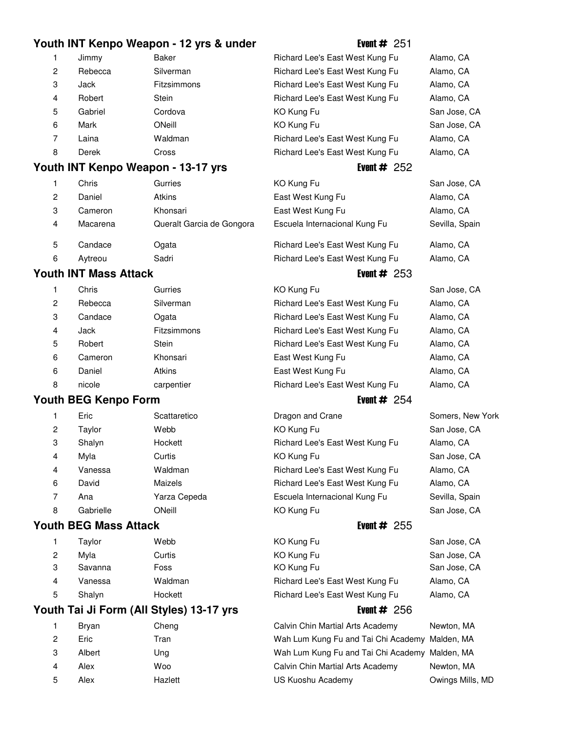### **Youth INT Kenpo Weapon - 12 yrs & under** Event # 251

| $\mathbf{1}$   | Jimmv   | Baker              | Richard Lee's East West Kung Fu | Alamo, CA |
|----------------|---------|--------------------|---------------------------------|-----------|
| $\mathbf{2}$   | Rebecca | Silverman          | Richard Lee's East West Kung Fu | Alamo, CA |
| 3              | Jack    | <b>Fitzsimmons</b> | Richard Lee's East West Kung Fu | Alamo, CA |
| $\overline{4}$ | Robert  | <b>Stein</b>       | Richard Lee's East West Kung Fu | Alamo, CA |
| 5              | Gabriel | Cordova            | KO Kung Fu                      | San Jose, |
| 6              | Mark    | ONeill             | KO Kung Fu                      | San Jose, |
| 7              | Laina   | Waldman            | Richard Lee's East West Kung Fu | Alamo, CA |
| 8              | Derek   | Cross              | Richard Lee's East West Kung Fu | Alamo, CA |
|                |         |                    |                                 |           |

## **Youth INT Kenpo Weapon - 13-17 yrs** Event # 252

|                | Chris    | Gurries                   | KO Kung Fu                               | San Jose,         |
|----------------|----------|---------------------------|------------------------------------------|-------------------|
| $\overline{2}$ | Daniel   | <b>Atkins</b>             | East West Kung Fu                        | Alamo, CA         |
| 3              | Cameron  | Khonsari                  | East West Kung Fu                        | Alamo, CA         |
| 4              | Macarena | Queralt Garcia de Gongora | Escuela Internacional Kung Fu            | Sevilla, Sp       |
| 5              | Candace  | Ogata                     | Richard Lee's East West Kung Fu          | Alamo, CA         |
| ĥ              | Avtreou  | Sadri                     | <b>Richard Lee's Fast West Kung Full</b> | $Alamo$ $C\Delta$ |

### **Youth INT Mass Attack Event # 253**

|                | Chris   | Gurries            | KO Kung Fu                      | San Jose, |
|----------------|---------|--------------------|---------------------------------|-----------|
| $\overline{2}$ | Rebecca | Silverman          | Richard Lee's East West Kung Fu | Alamo, CA |
| 3              | Candace | Ogata              | Richard Lee's East West Kung Fu | Alamo, CA |
| $\overline{4}$ | Jack    | <b>Fitzsimmons</b> | Richard Lee's East West Kung Fu | Alamo, CA |
| 5              | Robert  | <b>Stein</b>       | Richard Lee's East West Kung Fu | Alamo, CA |
| 6              | Cameron | Khonsari           | East West Kung Fu               | Alamo, CA |
| 6              | Daniel  | <b>Atkins</b>      | East West Kung Fu               | Alamo, CA |
| 8              | nicole  | carpentier         | Richard Lee's East West Kung Fu | Alamo, CA |

### **Youth BEG Kenpo Form Event # 254**

| 1              | Eric    | Scattaretico   | Dragon and Crane                | Somers, New                        |
|----------------|---------|----------------|---------------------------------|------------------------------------|
| $\overline{2}$ | Taylor  | Webb           | KO Kung Fu                      | San Jose, CA                       |
| 3              | Shalyn  | Hockett        | Richard Lee's East West Kung Fu | Alamo, CA                          |
| 4              | Mvla    | Curtis         | KO Kung Fu                      | San Jose, CA                       |
| $\overline{4}$ | Vanessa | Waldman        | Richard Lee's East West Kung Fu | Alamo, CA                          |
| 6              | David   | <b>Maizels</b> | Richard Lee's East West Kung Fu | Alamo, CA                          |
|                | Ana     | Yarza Cepeda   | Escuela Internacional Kung Fu   | Sevilla, Spain                     |
| $\sim$         | .       |                | $\sim$ $\sim$ $\sim$            | $\sim$ $\sim$ $\sim$ $\sim$ $\sim$ |

### **Youth BEG Mass Attack Event # 255**

| 1 | Taylor  | Webb    |
|---|---------|---------|
| 2 | Myla    | Curtis  |
| 3 | Savanna | Foss    |
| 4 | Vanessa | Waldman |
| 5 | Shalyn  | Hockett |

### **Youth Tai Ji Form (All Styles) 13-17 yrs Event # 256**

| 1 | Bryan  | Cheng   |
|---|--------|---------|
| 2 | Eric   | Tran    |
| 3 | Albert | Ung     |
| 4 | Alex   | Woo     |
| 5 | Alex   | Hazlett |
|   |        |         |

| Richard Lee's East West Kung Fu |
|---------------------------------|
| Richard Lee's East West Kung Fu |
| Richard Lee's East West Kung Fu |
| Richard Lee's East West Kung Fu |
| KO Kung Fu                      |
| KO Kung Fu                      |
| Richard Lee's East West Kung Fu |
| Richard Lee's East West Kung Fu |

| KO Kung Fu                    |  |
|-------------------------------|--|
| East West Kung Fu             |  |
| East West Kung Fu             |  |
| Escuela Internacional Kung Fu |  |
|                               |  |

Richard Lee's East West Kung Fu Alamo, CA Aytreou Sadri 11 Richard Lee's East West Kung Fu Alamo, CA

| KO Kung Fu                      | San Jose, CA |
|---------------------------------|--------------|
| Richard Lee's East West Kung Fu | Alamo, CA    |
| Richard Lee's East West Kung Fu | Alamo, CA    |
| Richard Lee's East West Kung Fu | Alamo, CA    |
| Richard Lee's East West Kung Fu | Alamo, CA    |
| East West Kung Fu               | Alamo, CA    |
| East West Kung Fu               | Alamo, CA    |
| Richard Lee's East West Kung Fu | Alamo, CA    |
|                                 |              |

Dragon and Crane Somers, New York Richard Lee's East West Kung Fu Alamo, CA KO Kung Fu San Jose, CA Richard Lee's East West Kung Fu Alamo, CA Richard Lee's East West Kung Fu Alamo, CA Escuela Internacional Kung Fu Sevilla, Spain 8 Gabrielle ONeill 19 November 19 KO Kung Fu San Jose, CA

1 KO Kung Fu San Jose, CA 2 KO Kung Fu San Jose, CA 3 KO Kung Fu San Jose, CA Richard Lee's East West Kung Fu Alamo, CA Richard Lee's East West Kung Fu Alamo, CA

Calvin Chin Martial Arts Academy Newton, MA Wah Lum Kung Fu and Tai Chi Academy Malden, MA Wah Lum Kung Fu and Tai Chi Academy Malden, MA Calvin Chin Martial Arts Academy Newton, MA US Kuoshu Academy **Owings Mills, MD** 

San Jose, CA San Jose, CA

San Jose, CA Sevilla, Spain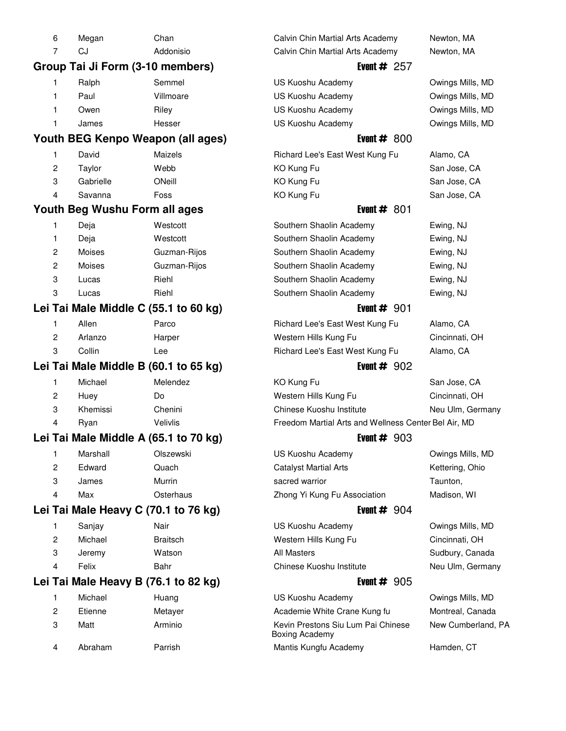|   | 6                   | Megan                                 | Chan                              | Calvin Chin Martial Arts Academy                                   | Newton, MA                             |
|---|---------------------|---------------------------------------|-----------------------------------|--------------------------------------------------------------------|----------------------------------------|
|   | 7                   | CJ                                    | Addonisio                         | Calvin Chin Martial Arts Academy                                   | Newton, MA                             |
|   |                     | Group Tai Ji Form (3-10 members)      |                                   | Event $# 257$                                                      |                                        |
| 1 |                     | Ralph                                 | Semmel                            | US Kuoshu Academy                                                  | Owings Mills, MD                       |
| 1 |                     | Paul                                  | Villmoare                         | US Kuoshu Academy                                                  | Owings Mills, MD                       |
| 1 |                     | Owen                                  | Riley                             | US Kuoshu Academy                                                  | Owings Mills, MD                       |
| 1 |                     | James                                 | Hesser                            | US Kuoshu Academy                                                  | Owings Mills, MD                       |
|   |                     |                                       | Youth BEG Kenpo Weapon (all ages) | Event $# 800$                                                      |                                        |
| 1 |                     | David                                 | Maizels                           | Richard Lee's East West Kung Fu                                    | Alamo, CA                              |
|   | 2                   | Taylor                                | Webb                              | KO Kung Fu                                                         | San Jose, CA                           |
|   | 3                   | Gabrielle                             | ONeill                            | KO Kung Fu                                                         | San Jose, CA                           |
|   | 4                   | Savanna                               | Foss                              | KO Kung Fu                                                         | San Jose, CA                           |
|   |                     | Youth Beg Wushu Form all ages         |                                   | Event $# 801$                                                      |                                        |
| 1 |                     | Deja                                  | Westcott                          | Southern Shaolin Academy                                           | Ewing, NJ                              |
| 1 |                     | Deja                                  | Westcott                          | Southern Shaolin Academy                                           | Ewing, NJ                              |
|   | 2                   | Moises                                | Guzman-Rijos                      | Southern Shaolin Academy                                           | Ewing, NJ                              |
|   | $\overline{c}$      | Moises                                | Guzman-Rijos                      | Southern Shaolin Academy                                           | Ewing, NJ                              |
|   | 3                   | Lucas                                 | Riehl                             | Southern Shaolin Academy                                           | Ewing, NJ                              |
|   | 3                   | Lucas                                 | Riehl                             | Southern Shaolin Academy                                           | Ewing, NJ                              |
|   |                     | Lei Tai Male Middle C (55.1 to 60 kg) |                                   | Event $# 901$                                                      |                                        |
| 1 |                     | Allen                                 | Parco                             | Richard Lee's East West Kung Fu                                    | Alamo, CA                              |
|   | 2                   | Arlanzo                               | Harper                            | Western Hills Kung Fu                                              | Cincinnati, OH                         |
|   | 3                   | Collin                                | Lee                               | Richard Lee's East West Kung Fu                                    | Alamo, CA                              |
|   |                     | Lei Tai Male Middle B (60.1 to 65 kg) |                                   | Event $# 902$                                                      |                                        |
| 1 |                     | Michael                               | Melendez                          | KO Kung Fu                                                         | San Jose, CA                           |
|   | 2                   | Huey                                  | Do                                | Western Hills Kung Fu                                              | Cincinnati, OH                         |
|   | 3                   | Khemissi                              | Chenini                           | Chinese Kuoshu Institute                                           | Neu Ulm, Germany                       |
|   | 4                   | Ryan                                  | Velivlis                          | Freedom Martial Arts and Wellness Center Bel Air, MD               |                                        |
|   |                     | Lei Tai Male Middle A (65.1 to 70 kg) |                                   | Event $# 903$                                                      |                                        |
| 1 |                     | Marshall                              | Olszewski                         | US Kuoshu Academy                                                  | Owings Mills, MD                       |
|   | 2                   | Edward                                | Quach                             | <b>Catalyst Martial Arts</b>                                       | Kettering, Ohio                        |
|   | 3                   | James                                 | Murrin                            | sacred warrior                                                     | Taunton,                               |
|   | 4                   | Max                                   | Osterhaus                         | Zhong Yi Kung Fu Association                                       | Madison, WI                            |
|   |                     | Lei Tai Male Heavy C (70.1 to 76 kg)  |                                   | Event $# 904$                                                      |                                        |
| 1 |                     | Sanjay                                | Nair                              | US Kuoshu Academy                                                  | Owings Mills, MD                       |
|   | 2                   | Michael                               | <b>Braitsch</b>                   | Western Hills Kung Fu                                              | Cincinnati, OH                         |
|   | 3                   | Jeremy                                | Watson                            | <b>All Masters</b>                                                 | Sudbury, Canada                        |
|   | 4                   | Felix                                 | Bahr                              | Chinese Kuoshu Institute                                           | Neu Ulm, Germany                       |
|   |                     | Lei Tai Male Heavy B (76.1 to 82 kg)  |                                   | Event $# 905$                                                      |                                        |
|   |                     |                                       |                                   |                                                                    |                                        |
| 1 |                     | Michael                               | Huang                             | US Kuoshu Academy                                                  | Owings Mills, MD                       |
|   | $\overline{c}$<br>3 | Etienne                               | Metayer<br>Arminio                | Academie White Crane Kung fu<br>Kevin Prestons Siu Lum Pai Chinese | Montreal, Canada<br>New Cumberland, PA |
|   |                     | Matt                                  |                                   | <b>Boxing Academy</b>                                              |                                        |
|   | 4                   | Abraham                               | Parrish                           | Mantis Kungfu Academy                                              | Hamden, CT                             |
|   |                     |                                       |                                   |                                                                    |                                        |